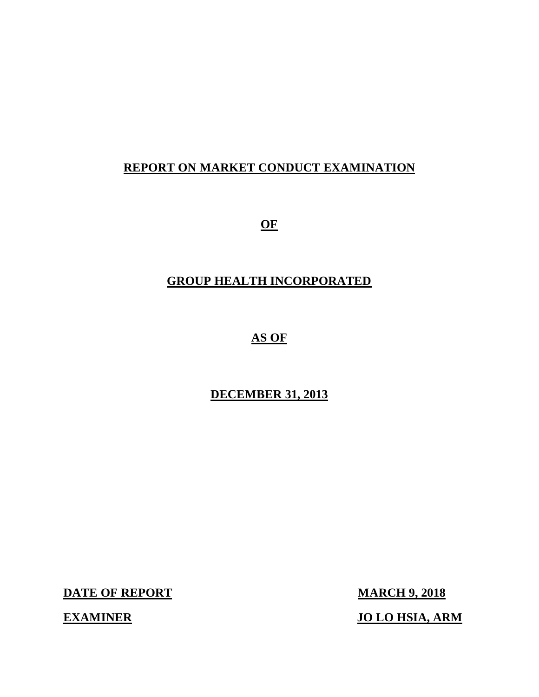# **REPORT ON MARKET CONDUCT EXAMINATION**

 $\overline{\text{OF}}$ 

# **GROUP HEALTH INCORPORATED**

# **AS OF**

# **DECEMBER 31, 2013**

**DATE OF REPORT MARCH 9, 2018** 

**EXAMINER** 

**JO LO HSIA, ARM**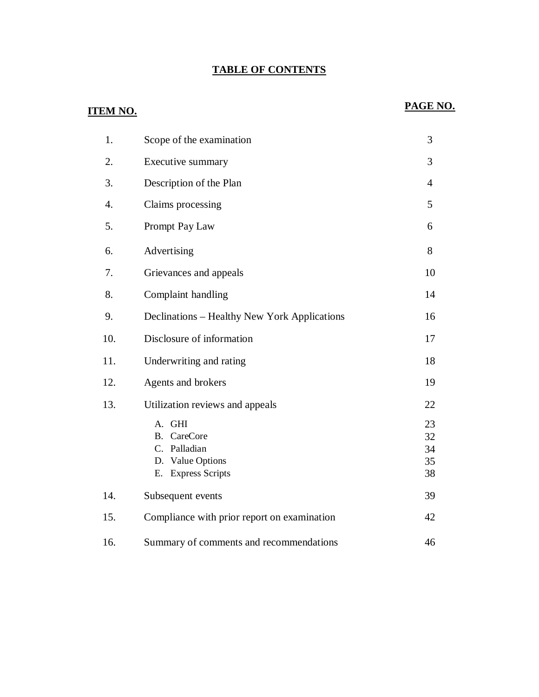#### **TABLE OF CONTENTS**

### **ITEM NO.**

# PAGE NO.

| 1.               | Scope of the examination                                                                  | 3                          |
|------------------|-------------------------------------------------------------------------------------------|----------------------------|
| 2.               | Executive summary                                                                         | 3                          |
| 3.               | Description of the Plan                                                                   | $\overline{4}$             |
| $\overline{4}$ . | Claims processing                                                                         | 5                          |
| 5.               | Prompt Pay Law                                                                            | 6                          |
| 6.               | Advertising                                                                               | 8                          |
| 7.               | Grievances and appeals                                                                    | 10                         |
| 8.               | Complaint handling                                                                        | 14                         |
| 9.               | Declinations – Healthy New York Applications                                              | 16                         |
| 10.              | Disclosure of information                                                                 | 17                         |
| 11.              | Underwriting and rating                                                                   | 18                         |
| 12.              | Agents and brokers                                                                        | 19                         |
| 13.              | Utilization reviews and appeals                                                           | 22                         |
|                  | A. GHI<br>CareCore<br><b>B.</b><br>C. Palladian<br>D. Value Options<br>E. Express Scripts | 23<br>32<br>34<br>35<br>38 |
| 14.              | Subsequent events                                                                         | 39                         |
| 15.              | Compliance with prior report on examination                                               | 42                         |
| 16.              | Summary of comments and recommendations                                                   | 46                         |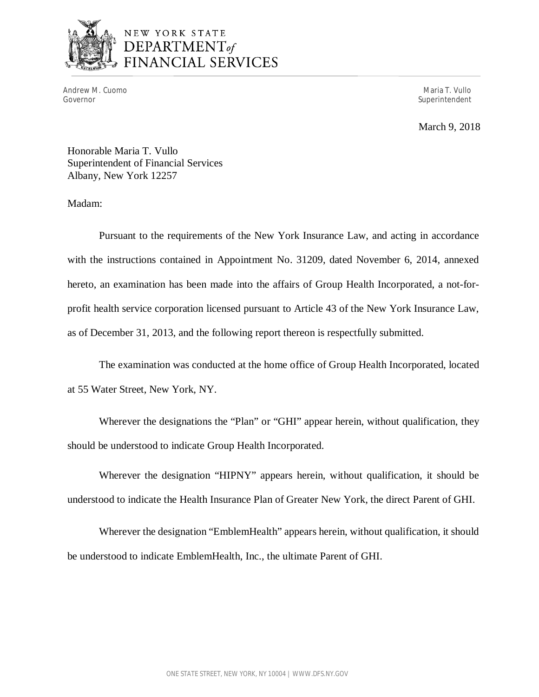

# NEW YORK STATE **DEPARTMENT**<br>DEPARTMENT<sub>of</sub><br>FINANCIAL SERVICES

Andrew M. Cuomo Governor

Maria T. Vullo Superintendent

March 9, 2018

 Honorable Maria T. Vullo Superintendent of Financial Services Albany, New York 12257

Madam:

 Pursuant to the requirements of the New York Insurance Law, and acting in accordance with the instructions contained in Appointment No. 31209, dated November 6, 2014, annexed hereto, an examination has been made into the affairs of Group Health Incorporated, a not-for- profit health service corporation licensed pursuant to Article 43 of the New York Insurance Law, as of December 31, 2013, and the following report thereon is respectfully submitted.

 at 55 Water Street, New York, NY. The examination was conducted at the home office of Group Health Incorporated, located

 Wherever the designations the "Plan" or "GHI" appear herein, without qualification, they should be understood to indicate Group Health Incorporated.

 Wherever the designation "HIPNY" appears herein, without qualification, it should be understood to indicate the Health Insurance Plan of Greater New York, the direct Parent of GHI.

 Wherever the designation "EmblemHealth" appears herein, without qualification, it should be understood to indicate EmblemHealth, Inc., the ultimate Parent of GHI.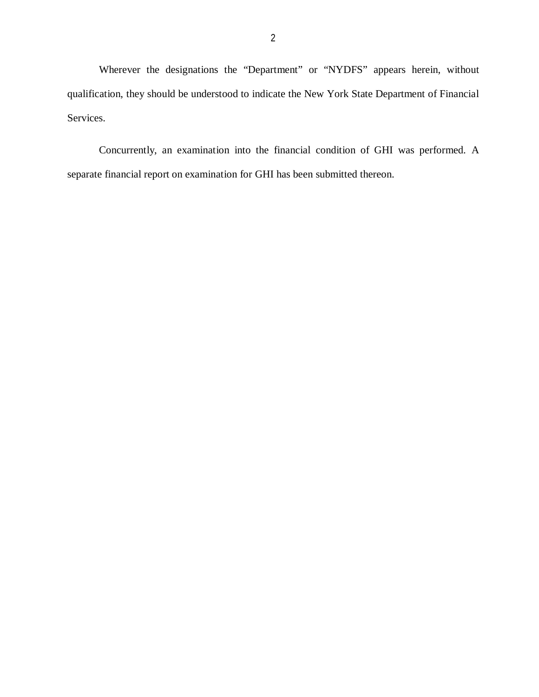Wherever the designations the "Department" or "NYDFS" appears herein, without qualification, they should be understood to indicate the New York State Department of Financial Services.

 Concurrently, an examination into the financial condition of GHI was performed. A separate financial report on examination for GHI has been submitted thereon.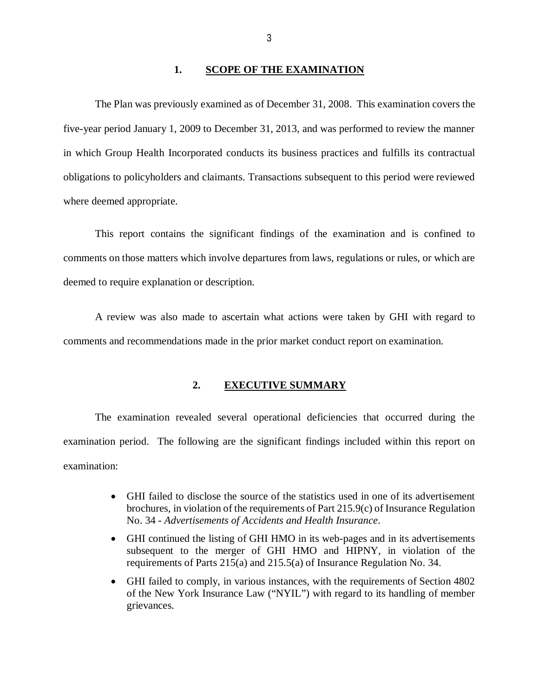#### **1. SCOPE OF THE EXAMINATION**

 five-year period January 1, 2009 to December 31, 2013, and was performed to review the manner in which Group Health Incorporated conducts its business practices and fulfills its contractual obligations to policyholders and claimants. Transactions subsequent to this period were reviewed The Plan was previously examined as of December 31, 2008. This examination covers the where deemed appropriate.

 This report contains the significant findings of the examination and is confined to comments on those matters which involve departures from laws, regulations or rules, or which are deemed to require explanation or description.

 A review was also made to ascertain what actions were taken by GHI with regard to comments and recommendations made in the prior market conduct report on examination.

#### **2. EXECUTIVE SUMMARY**

 The examination revealed several operational deficiencies that occurred during the examination period. The following are the significant findings included within this report on examination:

- GHI failed to disclose the source of the statistics used in one of its advertisement brochures, in violation of the requirements of Part 215.9(c) of Insurance Regulation No. 34 - *Advertisements of Accidents and Health Insurance*.
- GHI continued the listing of GHI HMO in its web-pages and in its advertisements subsequent to the merger of GHI HMO and HIPNY, in violation of the requirements of Parts 215(a) and 215.5(a) of Insurance Regulation No. 34.
- GHI failed to comply, in various instances, with the requirements of Section 4802 of the New York Insurance Law ("NYIL") with regard to its handling of member grievances.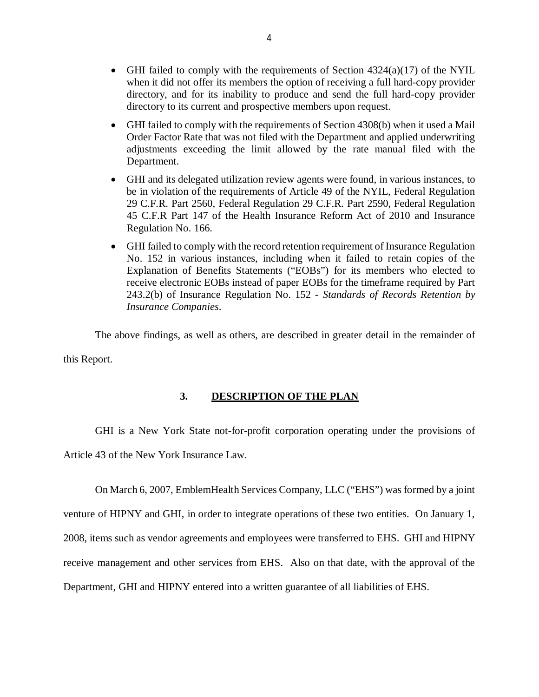- <span id="page-5-0"></span>• GHI failed to comply with the requirements of Section  $4324(a)(17)$  of the NYIL when it did not offer its members the option of receiving a full hard-copy provider directory, and for its inability to produce and send the full hard-copy provider directory to its current and prospective members upon request.
- GHI failed to comply with the requirements of Section 4308(b) when it used a Mail Order Factor Rate that was not filed with the Department and applied underwriting adjustments exceeding the limit allowed by the rate manual filed with the Department.
- GHI and its delegated utilization review agents were found, in various instances, to be in violation of the requirements of Article 49 of the NYIL, Federal Regulation 29 C.F.R. Part 2560, Federal Regulation 29 C.F.R. Part 2590, Federal Regulation 45 C.F.R Part 147 of the Health Insurance Reform Act of 2010 and Insurance Regulation No. 166.
- GHI failed to comply with the record retention requirement of Insurance Regulation No. 152 in various instances, including when it failed to retain copies of the Explanation of Benefits Statements ("EOBs") for its members who elected to receive electronic EOBs instead of paper EOBs for the timeframe required by Part 243.2(b) of Insurance Regulation No. 152 - *Standards of Records Retention by Insurance Companies*.

 The above findings, as well as others, are described in greater detail in the remainder of this Report.

#### **3. DESCRIPTION OF THE PLAN**

GHI is a New York State not-for-profit corporation operating under the provisions of

Article 43 of the New York Insurance Law.

 On March 6, 2007, EmblemHealth Services Company, LLC ("EHS") was formed by a joint venture of HIPNY and GHI, in order to integrate operations of these two entities. On January 1, 2008, items such as vendor agreements and employees were transferred to EHS. GHI and HIPNY receive management and other services from EHS. Also on that date, with the approval of the Department, GHI and HIPNY entered into a written guarantee of all liabilities of EHS.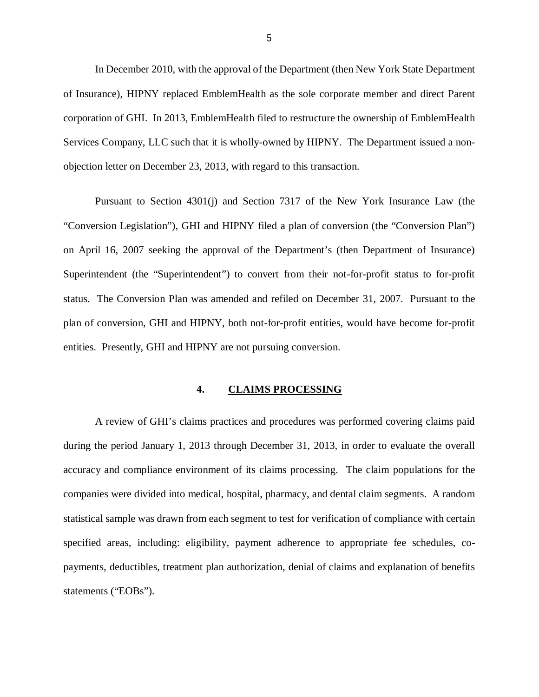<span id="page-6-0"></span> In December 2010, with the approval of the Department (then New York State Department of Insurance), HIPNY replaced EmblemHealth as the sole corporate member and direct Parent corporation of GHI. In 2013, EmblemHealth filed to restructure the ownership of EmblemHealth Services Company, LLC such that it is wholly-owned by HIPNY. The Department issued a non-objection letter on December 23, 2013, with regard to this transaction.

 Pursuant to Section 4301(j) and Section 7317 of the New York Insurance Law (the "Conversion Legislation"), GHI and HIPNY filed a plan of conversion (the "Conversion Plan") on April 16, 2007 seeking the approval of the Department's (then Department of Insurance) Superintendent (the "Superintendent") to convert from their not-for-profit status to for-profit status. The Conversion Plan was amended and refiled on December 31, 2007. Pursuant to the plan of conversion, GHI and HIPNY, both not-for-profit entities, would have become for-profit entities. Presently, GHI and HIPNY are not pursuing conversion.

#### **4. CLAIMS PROCESSING**

 A review of GHI's claims practices and procedures was performed covering claims paid during the period January 1, 2013 through December 31, 2013, in order to evaluate the overall accuracy and compliance environment of its claims processing. The claim populations for the companies were divided into medical, hospital, pharmacy, and dental claim segments. A random statistical sample was drawn from each segment to test for verification of compliance with certain specified areas, including: eligibility, payment adherence to appropriate fee schedules, co- payments, deductibles, treatment plan authorization, denial of claims and explanation of benefits statements ("EOBs").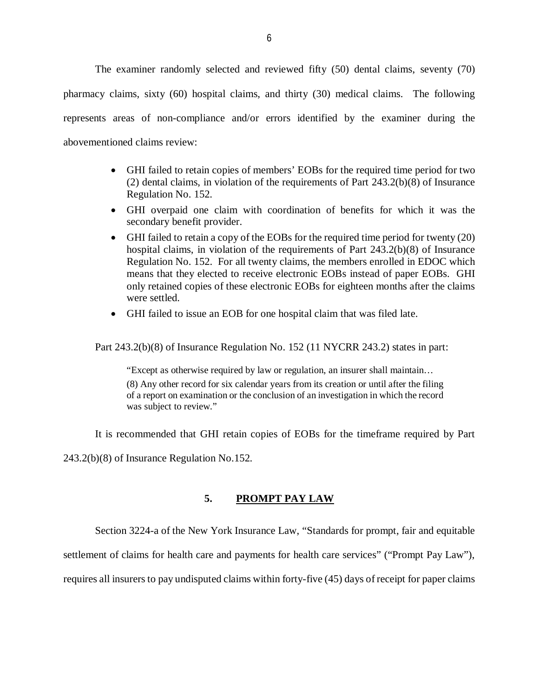<span id="page-7-0"></span> The examiner randomly selected and reviewed fifty (50) dental claims, seventy (70) pharmacy claims, sixty (60) hospital claims, and thirty (30) medical claims. The following represents areas of non-compliance and/or errors identified by the examiner during the abovementioned claims review:

- GHI failed to retain copies of members' EOBs for the required time period for two (2) dental claims, in violation of the requirements of Part 243.2(b)(8) of Insurance Regulation No. 152.
- GHI overpaid one claim with coordination of benefits for which it was the secondary benefit provider.
- GHI failed to retain a copy of the EOBs for the required time period for twenty (20) hospital claims, in violation of the requirements of Part 243.2(b)(8) of Insurance Regulation No. 152. For all twenty claims, the members enrolled in EDOC which means that they elected to receive electronic EOBs instead of paper EOBs. GHI only retained copies of these electronic EOBs for eighteen months after the claims were settled.
- GHI failed to issue an EOB for one hospital claim that was filed late.

Part 243.2(b)(8) of Insurance Regulation No. 152 (11 NYCRR 243.2) states in part:

 "Except as otherwise required by law or regulation, an insurer shall maintain… (8) Any other record for six calendar years from its creation or until after the filing of a report on examination or the conclusion of an investigation in which the record was subject to review."

It is recommended that GHI retain copies of EOBs for the timeframe required by Part

243.2(b)(8) of Insurance Regulation No.152.

#### **5. PROMPT PAY LAW**

Section 3224-a of the New York Insurance Law, "Standards for prompt, fair and equitable

settlement of claims for health care and payments for health care services" ("Prompt Pay Law"),

requires all insurers to pay undisputed claims within forty-five (45) days of receipt for paper claims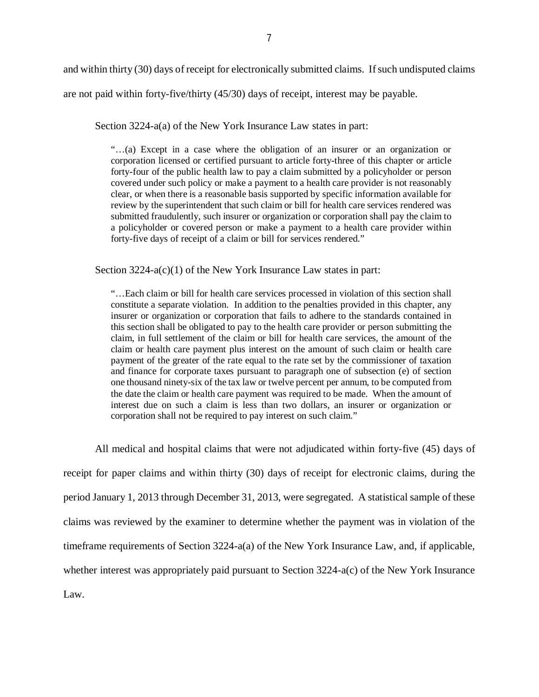and within thirty (30) days of receipt for electronically submitted claims. If such undisputed claims are not paid within forty-five/thirty (45/30) days of receipt, interest may be payable.

Section 3224-a(a) of the New York Insurance Law states in part:

 "…(a) Except in a case where the obligation of an insurer or an organization or corporation licensed or certified pursuant to article forty-three of this chapter or article forty-four of the public health law to pay a claim submitted by a policyholder or person covered under such policy or make a payment to a health care provider is not reasonably clear, or when there is a reasonable basis supported by specific information available for review by the superintendent that such claim or bill for health care services rendered was submitted fraudulently, such insurer or organization or corporation shall pay the claim to a policyholder or covered person or make a payment to a health care provider within forty-five days of receipt of a claim or bill for services rendered."

Section 3224-a(c)(1) of the New York Insurance Law states in part:

 "…Each claim or bill for health care services processed in violation of this section shall constitute a separate violation. In addition to the penalties provided in this chapter, any insurer or organization or corporation that fails to adhere to the standards contained in this section shall be obligated to pay to the health care provider or person submitting the claim, in full settlement of the claim or bill for health care services, the amount of the claim or health care payment plus interest on the amount of such claim or health care payment of the greater of the rate equal to the rate set by the commissioner of taxation and finance for corporate taxes pursuant to paragraph one of subsection (e) of section one thousand ninety-six of the tax law or twelve percent per annum, to be computed from the date the claim or health care payment was required to be made. When the amount of interest due on such a claim is less than two dollars, an insurer or organization or corporation shall not be required to pay interest on such claim."

 All medical and hospital claims that were not adjudicated within forty-five (45) days of receipt for paper claims and within thirty (30) days of receipt for electronic claims, during the period January 1, 2013 through December 31, 2013, were segregated. A statistical sample of these claims was reviewed by the examiner to determine whether the payment was in violation of the timeframe requirements of Section 3224-a(a) of the New York Insurance Law, and, if applicable, whether interest was appropriately paid pursuant to Section 3224-a(c) of the New York Insurance Law.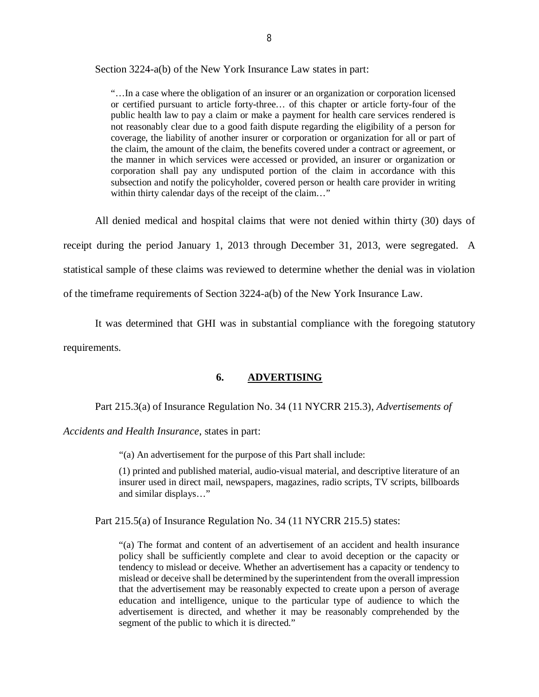<span id="page-9-0"></span>Section 3224-a(b) of the New York Insurance Law states in part:

 "…In a case where the obligation of an insurer or an organization or corporation licensed or certified pursuant to article forty-three… of this chapter or article forty-four of the public health law to pay a claim or make a payment for health care services rendered is not reasonably clear due to a good faith dispute regarding the eligibility of a person for coverage, the liability of another insurer or corporation or organization for all or part of the claim, the amount of the claim, the benefits covered under a contract or agreement, or the manner in which services were accessed or provided, an insurer or organization or corporation shall pay any undisputed portion of the claim in accordance with this subsection and notify the policyholder, covered person or health care provider in writing within thirty calendar days of the receipt of the claim…"

 All denied medical and hospital claims that were not denied within thirty (30) days of receipt during the period January 1, 2013 through December 31, 2013, were segregated. A statistical sample of these claims was reviewed to determine whether the denial was in violation of the timeframe requirements of Section 3224-a(b) of the New York Insurance Law.

 It was determined that GHI was in substantial compliance with the foregoing statutory requirements.

#### **6. ADVERTISING**

Part 215.3(a) of Insurance Regulation No. 34 (11 NYCRR 215.3), *Advertisements of* 

*Accidents and Health Insurance*, states in part:

"(a) An advertisement for the purpose of this Part shall include:

 (1) printed and published material, audio-visual material, and descriptive literature of an insurer used in direct mail, newspapers, magazines, radio scripts, TV scripts, billboards and similar displays…"

Part 215.5(a) of Insurance Regulation No. 34 (11 NYCRR 215.5) states:

 "(a) The format and content of an advertisement of an accident and health insurance policy shall be sufficiently complete and clear to avoid deception or the capacity or tendency to mislead or deceive. Whether an advertisement has a capacity or tendency to mislead or deceive shall be determined by the superintendent from the overall impression that the advertisement may be reasonably expected to create upon a person of average education and intelligence, unique to the particular type of audience to which the advertisement is directed, and whether it may be reasonably comprehended by the segment of the public to which it is directed."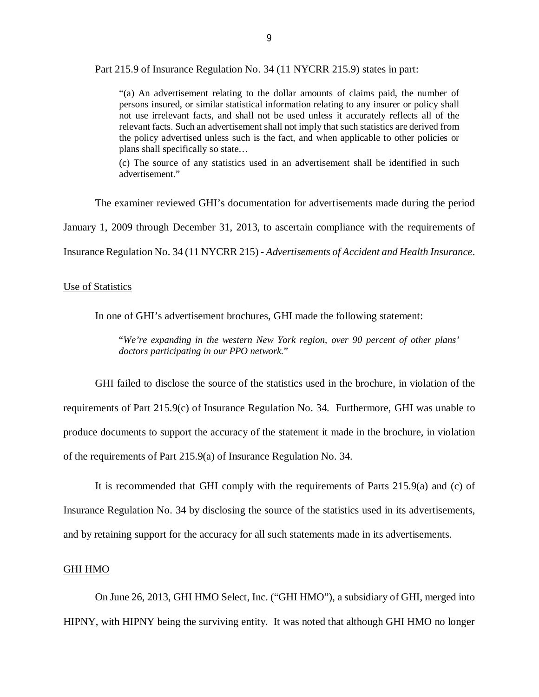Part 215.9 of Insurance Regulation No. 34 (11 NYCRR 215.9) states in part:

 "(a) An advertisement relating to the dollar amounts of claims paid, the number of persons insured, or similar statistical information relating to any insurer or policy shall not use irrelevant facts, and shall not be used unless it accurately reflects all of the relevant facts. Such an advertisement shall not imply that such statistics are derived from the policy advertised unless such is the fact, and when applicable to other policies or plans shall specifically so state…

 (c) The source of any statistics used in an advertisement shall be identified in such advertisement."

The examiner reviewed GHI's documentation for advertisements made during the period

January 1, 2009 through December 31, 2013, to ascertain compliance with the requirements of

Insurance Regulation No. 34 (11 NYCRR 215) - *Advertisements of Accident and Health Insurance*.

#### Use of Statistics

In one of GHI's advertisement brochures, GHI made the following statement:

 "*We're expanding in the western New York region, over 90 percent of other plans' doctors participating in our PPO network.*"

 GHI failed to disclose the source of the statistics used in the brochure, in violation of the requirements of Part 215.9(c) of Insurance Regulation No. 34. Furthermore, GHI was unable to produce documents to support the accuracy of the statement it made in the brochure, in violation of the requirements of Part 215.9(a) of Insurance Regulation No. 34.

 It is recommended that GHI comply with the requirements of Parts 215.9(a) and (c) of Insurance Regulation No. 34 by disclosing the source of the statistics used in its advertisements, and by retaining support for the accuracy for all such statements made in its advertisements.

#### GHI HMO

 On June 26, 2013, GHI HMO Select, Inc. ("GHI HMO"), a subsidiary of GHI, merged into HIPNY, with HIPNY being the surviving entity. It was noted that although GHI HMO no longer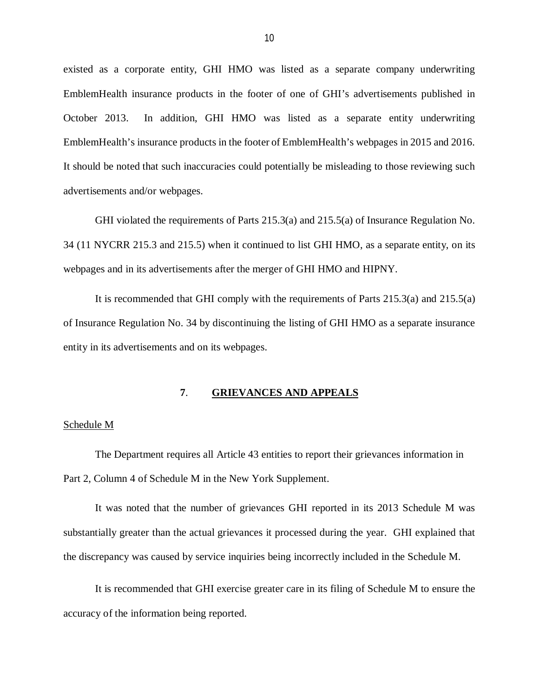<span id="page-11-0"></span> existed as a corporate entity, GHI HMO was listed as a separate company underwriting EmblemHealth insurance products in the footer of one of GHI's advertisements published in October 2013. EmblemHealth's insurance products in the footer of EmblemHealth's webpages in 2015 and 2016. It should be noted that such inaccuracies could potentially be misleading to those reviewing such advertisements and/or webpages. In addition, GHI HMO was listed as a separate entity underwriting

 GHI violated the requirements of Parts 215.3(a) and 215.5(a) of Insurance Regulation No. 34 (11 NYCRR 215.3 and 215.5) when it continued to list GHI HMO, as a separate entity, on its webpages and in its advertisements after the merger of GHI HMO and HIPNY.

 It is recommended that GHI comply with the requirements of Parts 215.3(a) and 215.5(a) of Insurance Regulation No. 34 by discontinuing the listing of GHI HMO as a separate insurance entity in its advertisements and on its webpages.

#### **7**. **GRIEVANCES AND APPEALS**

#### Schedule M

 The Department requires all Article 43 entities to report their grievances information in Part 2, Column 4 of Schedule M in the New York Supplement.

 It was noted that the number of grievances GHI reported in its 2013 Schedule M was substantially greater than the actual grievances it processed during the year. GHI explained that the discrepancy was caused by service inquiries being incorrectly included in the Schedule M.

 It is recommended that GHI exercise greater care in its filing of Schedule M to ensure the accuracy of the information being reported.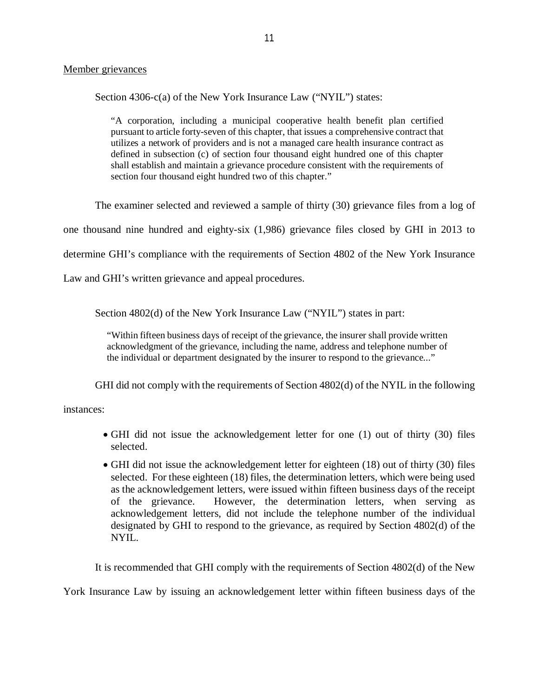#### Member grievances

Section 4306-c(a) of the New York Insurance Law ("NYIL") states:

 "A corporation, including a municipal cooperative health benefit plan certified pursuant to article forty-seven of this chapter, that issues a comprehensive contract that utilizes a network of providers and is not a managed care health insurance contract as defined in subsection (c) of section four thousand eight hundred one of this chapter shall establish and maintain a grievance procedure consistent with the requirements of section four thousand eight hundred two of this chapter."

The examiner selected and reviewed a sample of thirty (30) grievance files from a log of

one thousand nine hundred and eighty-six (1,986) grievance files closed by GHI in 2013 to

determine GHI's compliance with the requirements of Section 4802 of the New York Insurance

Law and GHI's written grievance and appeal procedures.

Section 4802(d) of the New York Insurance Law ("NYIL") states in part:

 "Within fifteen business days of receipt of the grievance, the insurer shall provide written acknowledgment of the grievance, including the name, address and telephone number of the individual or department designated by the insurer to respond to the grievance..."

GHI did not comply with the requirements of Section 4802(d) of the NYIL in the following

instances:

- GHI did not issue the acknowledgement letter for one (1) out of thirty (30) files selected.
- GHI did not issue the acknowledgement letter for eighteen (18) out of thirty (30) files selected. For these eighteen (18) files, the determination letters, which were being used as the acknowledgement letters, were issued within fifteen business days of the receipt of the grievance. acknowledgement letters, did not include the telephone number of the individual designated by GHI to respond to the grievance, as required by Section 4802(d) of the However, the determination letters, when serving as NYIL.

It is recommended that GHI comply with the requirements of Section 4802(d) of the New

York Insurance Law by issuing an acknowledgement letter within fifteen business days of the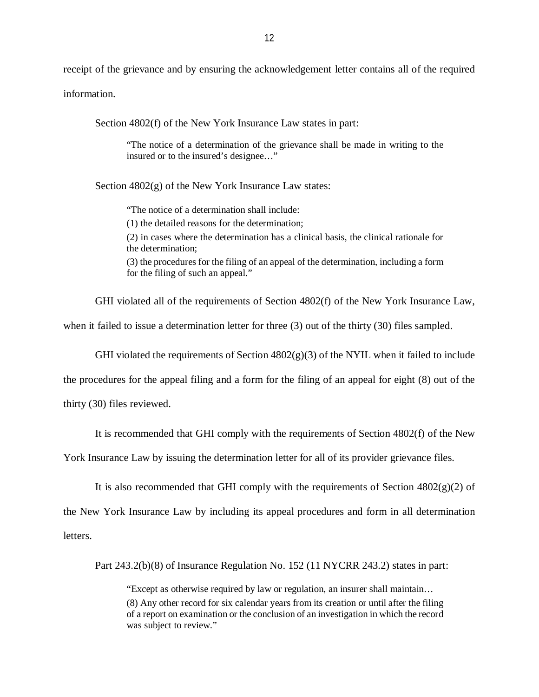receipt of the grievance and by ensuring the acknowledgement letter contains all of the required information.

Section  $4802(f)$  of the New York Insurance Law states in part:

 "The notice of a determination of the grievance shall be made in writing to the insured or to the insured's designee…"

Section 4802(g) of the New York Insurance Law states:

"The notice of a determination shall include:

(1) the detailed reasons for the determination;

 (2) in cases where the determination has a clinical basis, the clinical rationale for the determination;

 (3) the procedures for the filing of an appeal of the determination, including a form for the filing of such an appeal."

GHI violated all of the requirements of Section 4802(f) of the New York Insurance Law,

when it failed to issue a determination letter for three (3) out of the thirty (30) files sampled.

GHI violated the requirements of Section  $4802(g)(3)$  of the NYIL when it failed to include

the procedures for the appeal filing and a form for the filing of an appeal for eight (8) out of the

thirty (30) files reviewed.

It is recommended that GHI comply with the requirements of Section 4802(f) of the New

York Insurance Law by issuing the determination letter for all of its provider grievance files.

It is also recommended that GHI comply with the requirements of Section  $4802(g)(2)$  of

the New York Insurance Law by including its appeal procedures and form in all determination

letters.

letters.<br>Part 243.2(b)(8) of Insurance Regulation No. 152 (11 NYCRR 243.2) states in part:

 "Except as otherwise required by law or regulation, an insurer shall maintain… (8) Any other record for six calendar years from its creation or until after the filing of a report on examination or the conclusion of an investigation in which the record was subject to review."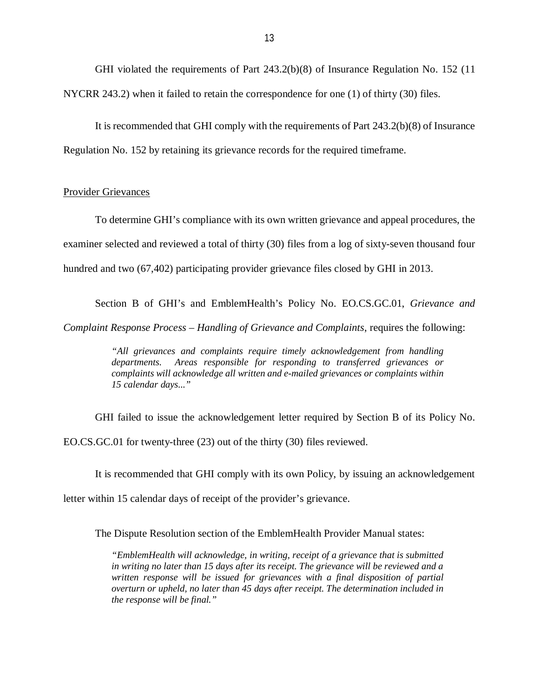GHI violated the requirements of Part 243.2(b)(8) of Insurance Regulation No. 152 (11 NYCRR 243.2) when it failed to retain the correspondence for one (1) of thirty (30) files.

 Regulation No. 152 by retaining its grievance records for the required timeframe. It is recommended that GHI comply with the requirements of Part 243.2(b)(8) of Insurance

#### Provider Grievances

 To determine GHI's compliance with its own written grievance and appeal procedures, the examiner selected and reviewed a total of thirty (30) files from a log of sixty-seven thousand four hundred and two (67,402) participating provider grievance files closed by GHI in 2013.

 Section B of GHI's and EmblemHealth's Policy No. [EO.CS.GC.01,](https://EO.CS.GC.01) *Grievance and Complaint Response Process – Handling of Grievance and Complaints*, requires the following:

> *"All grievances and complaints require timely acknowledgement from handling*  departments.  *complaints will acknowledge all written and e-mailed grievances or complaints within 15 calendar days..." departments. Areas responding to transferred grievances or*

 GHI failed to issue the acknowledgement letter required by Section B of its Policy No. [EO.CS.GC.01](https://EO.CS.GC.01) for twenty-three (23) out of the thirty (30) files reviewed.

It is recommended that GHI comply with its own Policy, by issuing an acknowledgement

letter within 15 calendar days of receipt of the provider's grievance.

The Dispute Resolution section of the EmblemHealth Provider Manual states:

 *"EmblemHealth will acknowledge, in writing, receipt of a grievance that is submitted in writing no later than 15 days after its receipt. The grievance will be reviewed and a*  written response will be issued for grievances with a final disposition of partial  *overturn or upheld, no later than 45 days after receipt. The determination included in the response will be final."*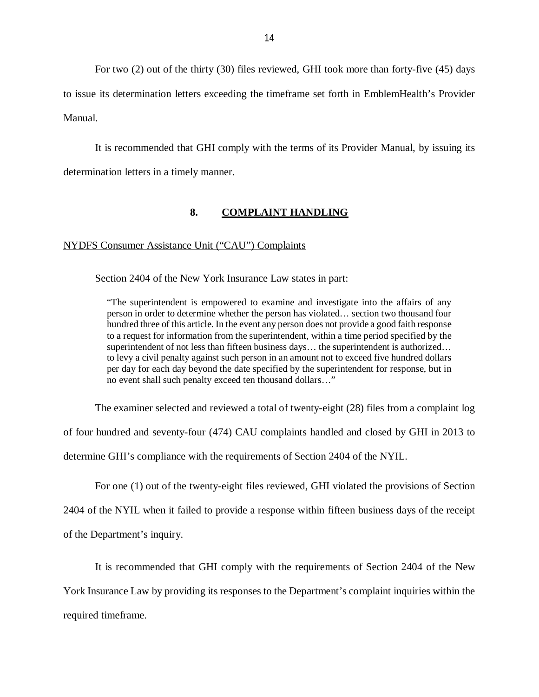<span id="page-15-0"></span> For two (2) out of the thirty (30) files reviewed, GHI took more than forty-five (45) days to issue its determination letters exceeding the timeframe set forth in EmblemHealth's Provider Manual.

 It is recommended that GHI comply with the terms of its Provider Manual, by issuing its determination letters in a timely manner.

#### **8. COMPLAINT HANDLING**

#### NYDFS Consumer Assistance Unit ("CAU") Complaints

Section 2404 of the New York Insurance Law states in part:

 "The superintendent is empowered to examine and investigate into the affairs of any person in order to determine whether the person has violated… section two thousand four hundred three of this article. In the event any person does not provide a good faith response to a request for information from the superintendent, within a time period specified by the superintendent of not less than fifteen business days… the superintendent is authorized… to levy a civil penalty against such person in an amount not to exceed five hundred dollars per day for each day beyond the date specified by the superintendent for response, but in no event shall such penalty exceed ten thousand dollars…"

The examiner selected and reviewed a total of twenty-eight (28) files from a complaint log

of four hundred and seventy-four (474) CAU complaints handled and closed by GHI in 2013 to

determine GHI's compliance with the requirements of Section 2404 of the NYIL.

For one (1) out of the twenty-eight files reviewed, GHI violated the provisions of Section

2404 of the NYIL when it failed to provide a response within fifteen business days of the receipt

of the Department's inquiry.

 It is recommended that GHI comply with the requirements of Section 2404 of the New York Insurance Law by providing its responses to the Department's complaint inquiries within the required timeframe.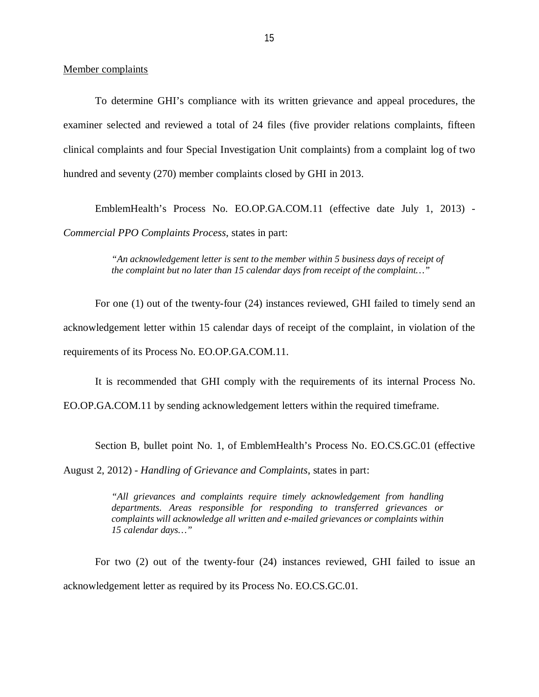Member complaints

 To determine GHI's compliance with its written grievance and appeal procedures, the examiner selected and reviewed a total of 24 files (five provider relations complaints, fifteen clinical complaints and four Special Investigation Unit complaints) from a complaint log of two hundred and seventy (270) member complaints closed by GHI in 2013.

 EmblemHealth's Process No. EO.OP.GA.COM.11 (effective date July 1, 2013) - *Commercial PPO Complaints Process*, states in part:

> *"An acknowledgement letter is sent to the member within 5 business days of receipt of the complaint but no later than 15 calendar days from receipt of the complaint…"*

 acknowledgement letter within 15 calendar days of receipt of the complaint, in violation of the requirements of its Process No. EO.OP.GA.COM.11. For one (1) out of the twenty-four (24) instances reviewed, GHI failed to timely send an

It is recommended that GHI comply with the requirements of its internal Process No.

EO.OP.GA.COM.11 by sending acknowledgement letters within the required timeframe.

Section B, bullet point No. 1, of EmblemHealth's Process No. [EO.CS.GC.01](https://EO.CS.GC.01) (effective

August 2, 2012) - *Handling of Grievance and Complaints*, states in part:

 *"All grievances and complaints require timely acknowledgement from handling departments. Areas responsible for responding to transferred grievances or complaints will acknowledge all written and e-mailed grievances or complaints within 15 calendar days…"* 

 For two (2) out of the twenty-four (24) instances reviewed, GHI failed to issue an acknowledgement letter as required by its Process No. [EO.CS.GC.01.](https://EO.CS.GC.01)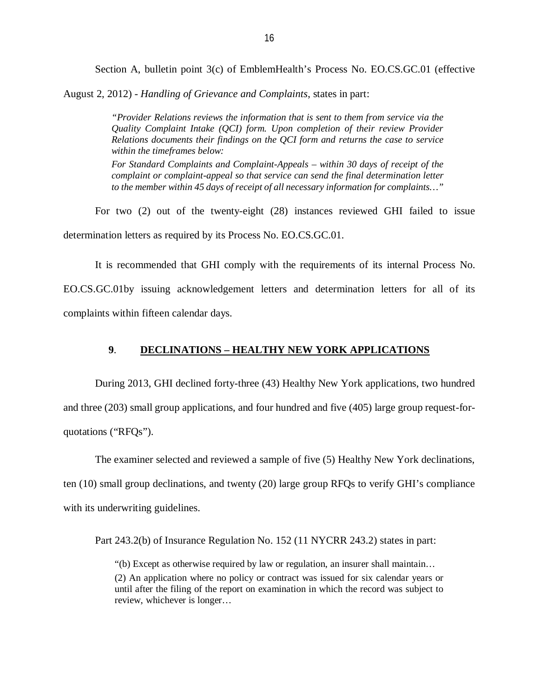Section A, bulletin point 3(c) of EmblemHealth's Process No. [EO.CS.GC.01](https://EO.CS.GC.01) (effective

<span id="page-17-0"></span>August 2, 2012) - *Handling of Grievance and Complaints*, states in part:

 *"Provider Relations reviews the information that is sent to them from service via the Quality Complaint Intake (QCI) form. Upon completion of their review Provider Relations documents their findings on the QCI form and returns the case to service within the timeframes below:* 

 *For Standard Complaints and Complaint-Appeals – within 30 days of receipt of the complaint or complaint-appeal so that service can send the final determination letter to the member within 45 days of receipt of all necessary information for complaints…"* 

 For two (2) out of the twenty-eight (28) instances reviewed GHI failed to issue determination letters as required by its Process No. [EO.CS.GC.01](https://EO.CS.GC.01).

It is recommended that GHI comply with the requirements of its internal Process No.

 EO.CS.GC.01by issuing acknowledgement letters and determination letters for all of its complaints within fifteen calendar days.

#### **9**. **DECLINATIONS – HEALTHY NEW YORK APPLICATIONS**

 During 2013, GHI declined forty-three (43) Healthy New York applications, two hundred and three (203) small group applications, and four hundred and five (405) large group request-for-quotations ("RFQs").

 The examiner selected and reviewed a sample of five (5) Healthy New York declinations, ten (10) small group declinations, and twenty (20) large group RFQs to verify GHI's compliance with its underwriting guidelines.

Part 243.2(b) of Insurance Regulation No. 152 (11 NYCRR 243.2) states in part:

 "(b) Except as otherwise required by law or regulation, an insurer shall maintain… (2) An application where no policy or contract was issued for six calendar years or until after the filing of the report on examination in which the record was subject to review, whichever is longer…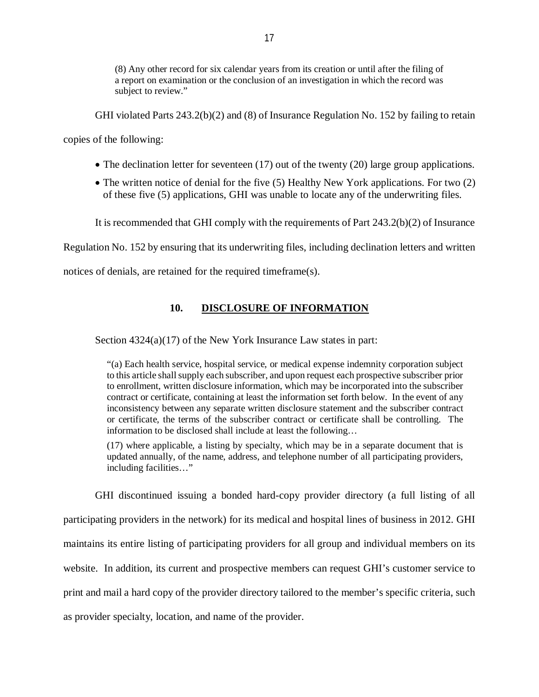<span id="page-18-0"></span> (8) Any other record for six calendar years from its creation or until after the filing of a report on examination or the conclusion of an investigation in which the record was subject to review."

GHI violated Parts 243.2(b)(2) and (8) of Insurance Regulation No. 152 by failing to retain

copies of the following:

- The declination letter for seventeen (17) out of the twenty (20) large group applications.
- The written notice of denial for the five (5) Healthy New York applications. For two (2) of these five (5) applications, GHI was unable to locate any of the underwriting files.

It is recommended that GHI comply with the requirements of Part 243.2(b)(2) of Insurance

Regulation No. 152 by ensuring that its underwriting files, including declination letters and written

notices of denials, are retained for the required timeframe(s).

#### 10. DISCLOSURE OF INFORMATION

Section 4324(a)(17) of the New York Insurance Law states in part:

 "(a) Each health service, hospital service, or medical expense indemnity corporation subject to this article shall supply each subscriber, and upon request each prospective subscriber prior to enrollment, written disclosure information, which may be incorporated into the subscriber contract or certificate, containing at least the information set forth below. In the event of any inconsistency between any separate written disclosure statement and the subscriber contract or certificate, the terms of the subscriber contract or certificate shall be controlling. The information to be disclosed shall include at least the following…

 (17) where applicable, a listing by specialty, which may be in a separate document that is updated annually, of the name, address, and telephone number of all participating providers, including facilities…"

 GHI discontinued issuing a bonded hard-copy provider directory (a full listing of all participating providers in the network) for its medical and hospital lines of business in 2012. GHI maintains its entire listing of participating providers for all group and individual members on its website. In addition, its current and prospective members can request GHI's customer service to print and mail a hard copy of the provider directory tailored to the member's specific criteria, such as provider specialty, location, and name of the provider.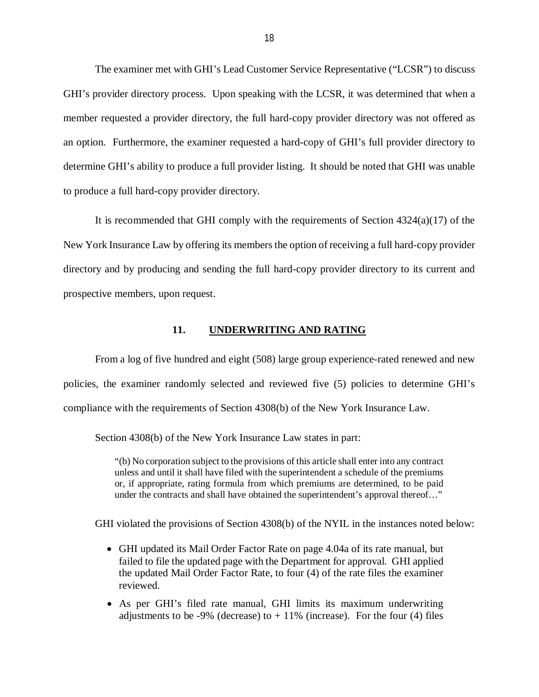<span id="page-19-0"></span> The examiner met with GHI's Lead Customer Service Representative ("LCSR") to discuss GHI's provider directory process. Upon speaking with the LCSR, it was determined that when a member requested a provider directory, the full hard-copy provider directory was not offered as an option. Furthermore, the examiner requested a hard-copy of GHI's full provider directory to determine GHI's ability to produce a full provider listing. It should be noted that GHI was unable to produce a full hard-copy provider directory.

 It is recommended that GHI comply with the requirements of Section 4324(a)(17) of the New York Insurance Law by offering its members the option of receiving a full hard-copy provider directory and by producing and sending the full hard-copy provider directory to its current and prospective members, upon request.

#### **11. UNDERWRITING AND RATING**

 From a log of five hundred and eight (508) large group experience-rated renewed and new policies, the examiner randomly selected and reviewed five (5) policies to determine GHI's compliance with the requirements of Section 4308(b) of the New York Insurance Law.

Section 4308(b) of the New York Insurance Law states in part:

 "(b) No corporation subject to the provisions of this article shall enter into any contract unless and until it shall have filed with the superintendent a schedule of the premiums or, if appropriate, rating formula from which premiums are determined, to be paid under the contracts and shall have obtained the superintendent's approval thereof…"

GHI violated the provisions of Section 4308(b) of the NYIL in the instances noted below:

- GHI updated its Mail Order Factor Rate on page 4.04a of its rate manual, but failed to file the updated page with the Department for approval. GHI applied the updated Mail Order Factor Rate, to four (4) of the rate files the examiner reviewed.
- As per GHI's filed rate manual, GHI limits its maximum underwriting adjustments to be -9% (decrease) to  $+11\%$  (increase). For the four (4) files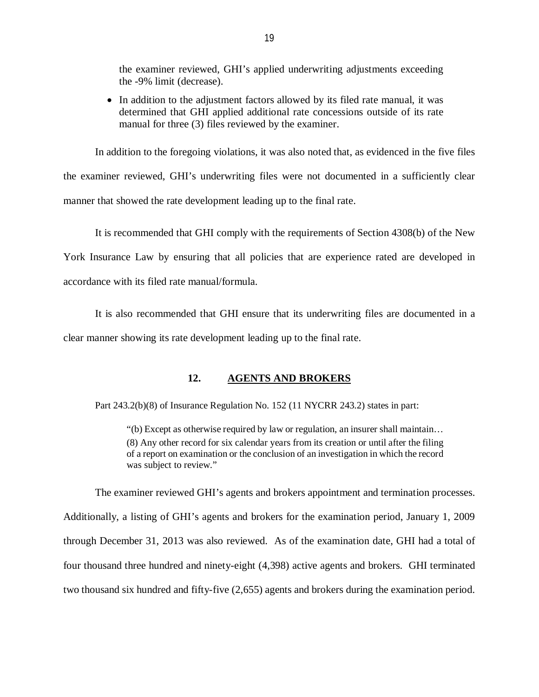<span id="page-20-0"></span> the examiner reviewed, GHI's applied underwriting adjustments exceeding the -9% limit (decrease).

• In addition to the adjustment factors allowed by its filed rate manual, it was determined that GHI applied additional rate concessions outside of its rate manual for three (3) files reviewed by the examiner.

 In addition to the foregoing violations, it was also noted that, as evidenced in the five files the examiner reviewed, GHI's underwriting files were not documented in a sufficiently clear manner that showed the rate development leading up to the final rate.

 York Insurance Law by ensuring that all policies that are experience rated are developed in accordance with its filed rate manual/formula. It is recommended that GHI comply with the requirements of Section 4308(b) of the New

 clear manner showing its rate development leading up to the final rate. It is also recommended that GHI ensure that its underwriting files are documented in a

#### **12. AGENTS AND BROKERS**

Part 243.2(b)(8) of Insurance Regulation No. 152 (11 NYCRR 243.2) states in part:

 "(b) Except as otherwise required by law or regulation, an insurer shall maintain… (8) Any other record for six calendar years from its creation or until after the filing of a report on examination or the conclusion of an investigation in which the record was subject to review."

 The examiner reviewed GHI's agents and brokers appointment and termination processes. Additionally, a listing of GHI's agents and brokers for the examination period, January 1, 2009 through December 31, 2013 was also reviewed. As of the examination date, GHI had a total of four thousand three hundred and ninety-eight (4,398) active agents and brokers. GHI terminated two thousand six hundred and fifty-five (2,655) agents and brokers during the examination period.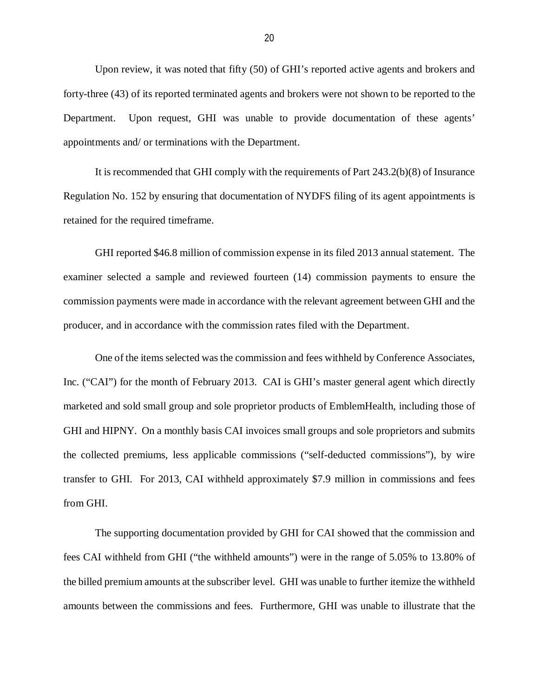Upon review, it was noted that fifty (50) of GHI's reported active agents and brokers and forty-three (43) of its reported terminated agents and brokers were not shown to be reported to the Department. appointments and/ or terminations with the Department. Upon request, GHI was unable to provide documentation of these agents'

 It is recommended that GHI comply with the requirements of Part 243.2(b)(8) of Insurance Regulation No. 152 by ensuring that documentation of NYDFS filing of its agent appointments is retained for the required timeframe.

 GHI reported \$46.8 million of commission expense in its filed 2013 annual statement. The examiner selected a sample and reviewed fourteen (14) commission payments to ensure the commission payments were made in accordance with the relevant agreement between GHI and the producer, and in accordance with the commission rates filed with the Department.

 One of the items selected was the commission and fees withheld by Conference Associates, Inc. ("CAI") for the month of February 2013. CAI is GHI's master general agent which directly marketed and sold small group and sole proprietor products of EmblemHealth, including those of GHI and HIPNY. On a monthly basis CAI invoices small groups and sole proprietors and submits the collected premiums, less applicable commissions ("self-deducted commissions"), by wire transfer to GHI. For 2013, CAI withheld approximately \$7.9 million in commissions and fees from GHI.

 The supporting documentation provided by GHI for CAI showed that the commission and fees CAI withheld from GHI ("the withheld amounts") were in the range of 5.05% to 13.80% of the billed premium amounts at the subscriber level. GHI was unable to further itemize the withheld amounts between the commissions and fees. Furthermore, GHI was unable to illustrate that the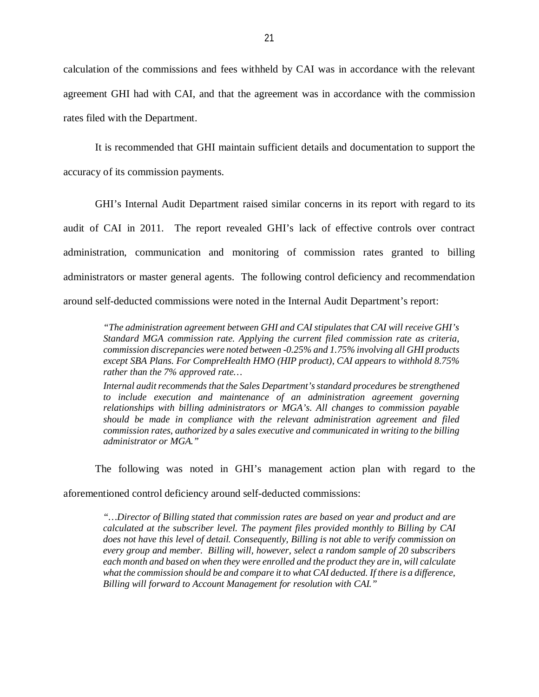calculation of the commissions and fees withheld by CAI was in accordance with the relevant agreement GHI had with CAI, and that the agreement was in accordance with the commission rates filed with the Department.

 It is recommended that GHI maintain sufficient details and documentation to support the accuracy of its commission payments.

 GHI's Internal Audit Department raised similar concerns in its report with regard to its audit of CAI in 2011. The report revealed GHI's lack of effective controls over contract administration, communication and monitoring of commission rates granted to billing administrators or master general agents. The following control deficiency and recommendation around self-deducted commissions were noted in the Internal Audit Department's report:

 *"The administration agreement between GHI and CAI stipulates that CAI will receive GHI's Standard MGA commission rate. Applying the current filed commission rate as criteria, commission discrepancies were noted between -0.25% and 1.75% involving all GHI products except SBA Plans. For CompreHealth HMO (HIP product), CAI appears to withhold 8.75% rather than the 7% approved rate…* 

 *Internal audit recommends that the Sales Department's standard procedures be strengthened*  to include execution and maintenance of an administration agreement governing  *relationships with billing administrators or MGA's. All changes to commission payable should be made in compliance with the relevant administration agreement and filed commission rates, authorized by a sales executive and communicated in writing to the billing administrator or MGA."* 

The following was noted in GHI's management action plan with regard to the

aforementioned control deficiency around self-deducted commissions:

 *"…Director of Billing stated that commission rates are based on year and product and are calculated at the subscriber level. The payment files provided monthly to Billing by CAI does not have this level of detail. Consequently, Billing is not able to verify commission on every group and member. Billing will, however, select a random sample of 20 subscribers each month and based on when they were enrolled and the product they are in, will calculate what the commission should be and compare it to what CAI deducted. If there is a difference, Billing will forward to Account Management for resolution with CAI."*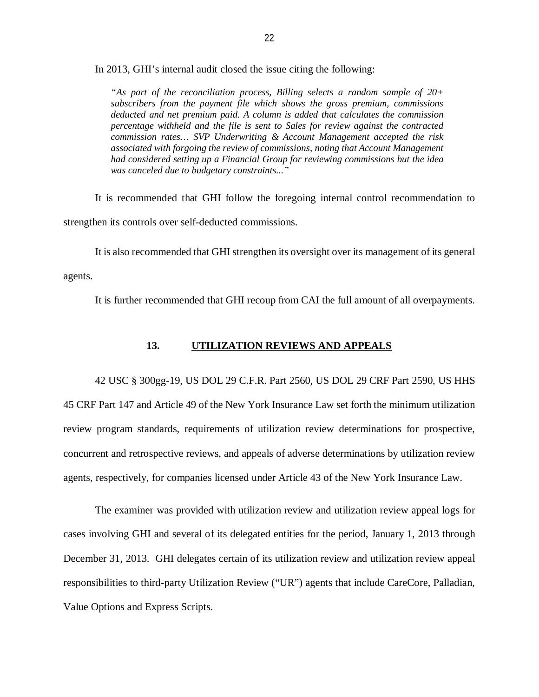<span id="page-23-0"></span>In 2013, GHI's internal audit closed the issue citing the following:

 *"As part of the reconciliation process, Billing selects a random sample of 20+ subscribers from the payment file which shows the gross premium, commissions deducted and net premium paid. A column is added that calculates the commission percentage withheld and the file is sent to Sales for review against the contracted commission rates… SVP Underwriting & Account Management accepted the risk associated with forgoing the review of commissions, noting that Account Management had considered setting up a Financial Group for reviewing commissions but the idea was canceled due to budgetary constraints..."* 

 It is recommended that GHI follow the foregoing internal control recommendation to strengthen its controls over self-deducted commissions.

 It is also recommended that GHI strengthen its oversight over its management of its general agents.

agents. It is further recommended that GHI recoup from CAI the full amount of all overpayments.

#### **13. UTILIZATION REVIEWS AND APPEALS**

 42 USC § 300gg-19, US DOL 29 C.F.R. Part 2560, US DOL 29 CRF Part 2590, US HHS 45 CRF Part 147 and Article 49 of the New York Insurance Law set forth the minimum utilization review program standards, requirements of utilization review determinations for prospective, concurrent and retrospective reviews, and appeals of adverse determinations by utilization review agents, respectively, for companies licensed under Article 43 of the New York Insurance Law.

 The examiner was provided with utilization review and utilization review appeal logs for cases involving GHI and several of its delegated entities for the period, January 1, 2013 through December 31, 2013. GHI delegates certain of its utilization review and utilization review appeal responsibilities to third-party Utilization Review ("UR") agents that include CareCore, Palladian, Value Options and Express Scripts.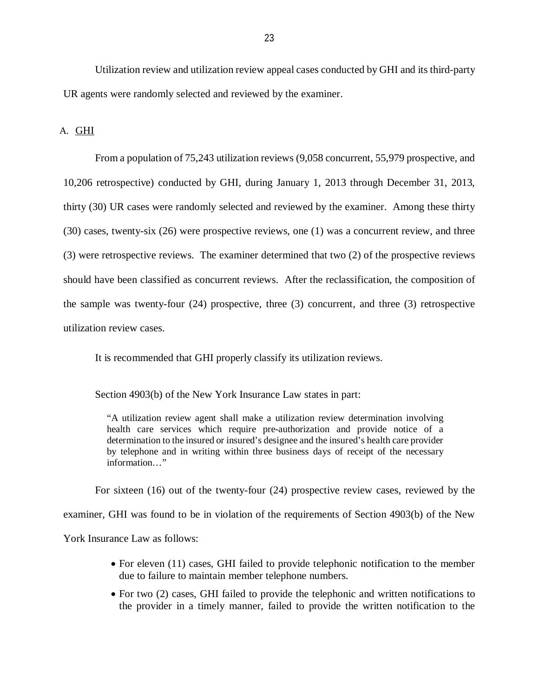<span id="page-24-0"></span> Utilization review and utilization review appeal cases conducted by GHI and its third-party UR agents were randomly selected and reviewed by the examiner.

A. GHI

 From a population of 75,243 utilization reviews (9,058 concurrent, 55,979 prospective, and 10,206 retrospective) conducted by GHI, during January 1, 2013 through December 31, 2013, thirty (30) UR cases were randomly selected and reviewed by the examiner. Among these thirty (30) cases, twenty-six (26) were prospective reviews, one (1) was a concurrent review, and three (3) were retrospective reviews. The examiner determined that two (2) of the prospective reviews should have been classified as concurrent reviews. After the reclassification, the composition of the sample was twenty-four (24) prospective, three (3) concurrent, and three (3) retrospective utilization review cases utilization review cases.<br>It is recommended that GHI properly classify its utilization reviews.

Section 4903(b) of the New York Insurance Law states in part:

 "A utilization review agent shall make a utilization review determination involving health care services which require pre-authorization and provide notice of a determination to the insured or insured's designee and the insured's health care provider by telephone and in writing within three business days of receipt of the necessary information…"

 For sixteen (16) out of the twenty-four (24) prospective review cases, reviewed by the examiner, GHI was found to be in violation of the requirements of Section 4903(b) of the New York Insurance Law as follows:

- For eleven (11) cases, GHI failed to provide telephonic notification to the member due to failure to maintain member telephone numbers.
- For two (2) cases, GHI failed to provide the telephonic and written notifications to the provider in a timely manner, failed to provide the written notification to the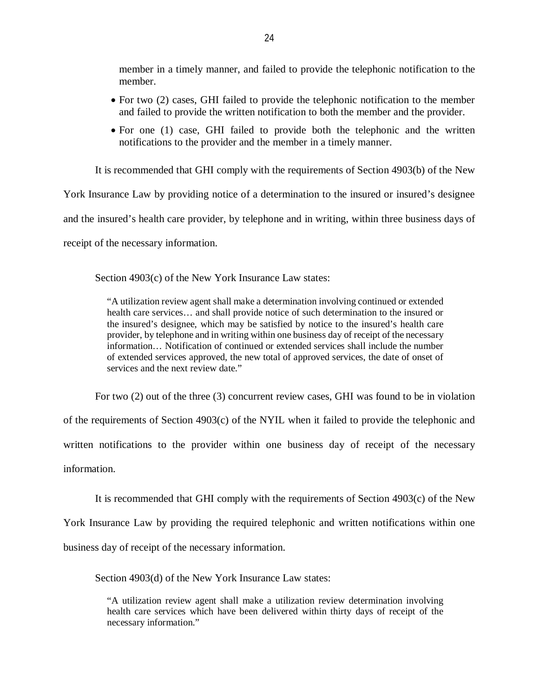member in a timely manner, and failed to provide the telephonic notification to the member.

- For two (2) cases, GHI failed to provide the telephonic notification to the member and failed to provide the written notification to both the member and the provider.
- For one (1) case, GHI failed to provide both the telephonic and the written notifications to the provider and the member in a timely manner.

It is recommended that GHI comply with the requirements of Section 4903(b) of the New

York Insurance Law by providing notice of a determination to the insured or insured's designee

and the insured's health care provider, by telephone and in writing, within three business days of

receipt of the necessary information.

Section 4903(c) of the New York Insurance Law states:

 "A utilization review agent shall make a determination involving continued or extended health care services… and shall provide notice of such determination to the insured or the insured's designee, which may be satisfied by notice to the insured's health care provider, by telephone and in writing within one business day of receipt of the necessary information… Notification of continued or extended services shall include the number of extended services approved, the new total of approved services, the date of onset of services and the next review date."

For two (2) out of the three (3) concurrent review cases, GHI was found to be in violation

 of the requirements of Section 4903(c) of the NYIL when it failed to provide the telephonic and written notifications to the provider within one business day of receipt of the necessary

information.

It is recommended that GHI comply with the requirements of Section 4903(c) of the New

York Insurance Law by providing the required telephonic and written notifications within one

business day of receipt of the necessary information.

Section 4903(d) of the New York Insurance Law states:

 "A utilization review agent shall make a utilization review determination involving health care services which have been delivered within thirty days of receipt of the necessary information."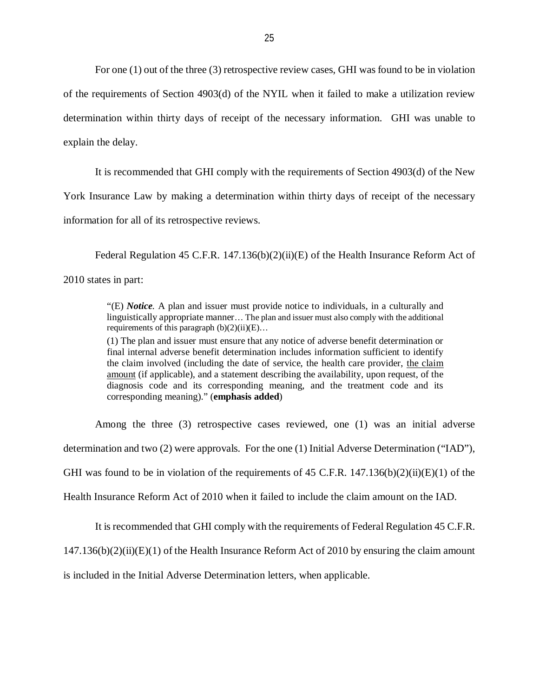For one (1) out of the three (3) retrospective review cases, GHI was found to be in violation of the requirements of Section 4903(d) of the NYIL when it failed to make a utilization review determination within thirty days of receipt of the necessary information. GHI was unable to explain the delay.

It is recommended that GHI comply with the requirements of Section 4903(d) of the New

 York Insurance Law by making a determination within thirty days of receipt of the necessary information for all of its retrospective reviews.

Federal Regulation 45 C.F.R. 147.136(b)(2)(ii)(E) of the Health Insurance Reform Act of 2010 states in part:

> "(E) *Notice.* A plan and issuer must provide notice to individuals, in a culturally and linguistically appropriate manner… The plan and issuer must also comply with the additional requirements of this paragraph (b)(2)(ii)(E)…

> (1) The plan and issuer must ensure that any notice of adverse benefit determination or final internal adverse benefit determination includes information sufficient to identify the claim involved (including the date of service, the health care provider, the claim amount (if applicable), and a statement describing the availability, upon request, of the diagnosis code and its corresponding meaning, and the treatment code and its corresponding meaning)." (**emphasis added**)

Among the three (3) retrospective cases reviewed, one (1) was an initial adverse

determination and two (2) were approvals. For the one (1) Initial Adverse Determination ("IAD"),

GHI was found to be in violation of the requirements of 45 C.F.R.  $147.136(b)(2)(ii)(E)(1)$  of the

Health Insurance Reform Act of 2010 when it failed to include the claim amount on the IAD.

It is recommended that GHI comply with the requirements of Federal Regulation 45 C.F.R.

147.136(b)(2)(ii)(E)(1) of the Health Insurance Reform Act of 2010 by ensuring the claim amount

is included in the Initial Adverse Determination letters, when applicable.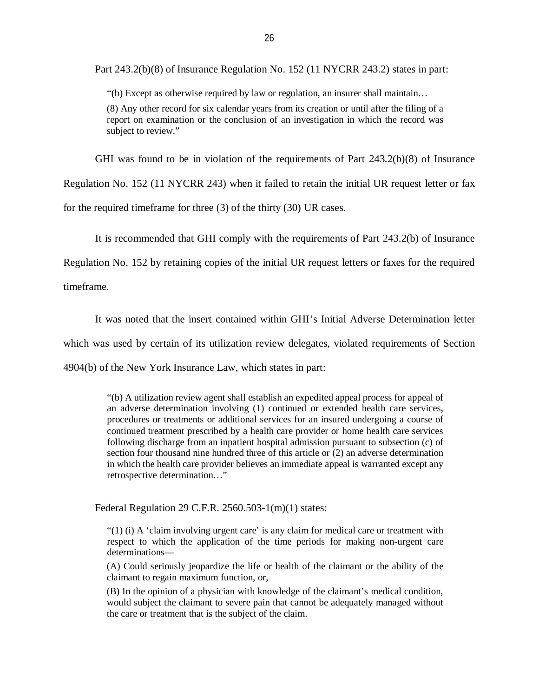Part 243.2(b)(8) of Insurance Regulation No. 152 (11 NYCRR 243.2) states in part:

"(b) Except as otherwise required by law or regulation, an insurer shall maintain…

 (8) Any other record for six calendar years from its creation or until after the filing of a report on examination or the conclusion of an investigation in which the record was subject to review."

GHI was found to be in violation of the requirements of Part 243.2(b)(8) of Insurance

Regulation No. 152 (11 NYCRR 243) when it failed to retain the initial UR request letter or fax

for the required timeframe for three (3) of the thirty (30) UR cases.

It is recommended that GHI comply with the requirements of Part 243.2(b) of Insurance

Regulation No. 152 by retaining copies of the initial UR request letters or faxes for the required

timeframe.

timeframe.<br>It was noted that the insert contained within GHI's Initial Adverse Determination letter

which was used by certain of its utilization review delegates, violated requirements of Section

4904(b) of the New York Insurance Law, which states in part:

 "(b) A utilization review agent shall establish an expedited appeal process for appeal of an adverse determination involving (1) continued or extended health care services, procedures or treatments or additional services for an insured undergoing a course of continued treatment prescribed by a health care provider or home health care services following discharge from an inpatient hospital admission pursuant to subsection (c) of section four thousand nine hundred three of this article or (2) an adverse determination in which the health care provider believes an immediate appeal is warranted except any retrospective determination…"

Federal Regulation 29 C.F.R. 2560.503-1(m)(1) states:

 "(1) (i) A 'claim involving urgent care' is any claim for medical care or treatment with respect to which the application of the time periods for making non-urgent care determinationsdeterminations—<br>(A) Could seriously jeopardize the life or health of the claimant or the ability of the

claimant to regain maximum function, or,

 (B) In the opinion of a physician with knowledge of the claimant's medical condition, would subject the claimant to severe pain that cannot be adequately managed without the care or treatment that is the subject of the claim.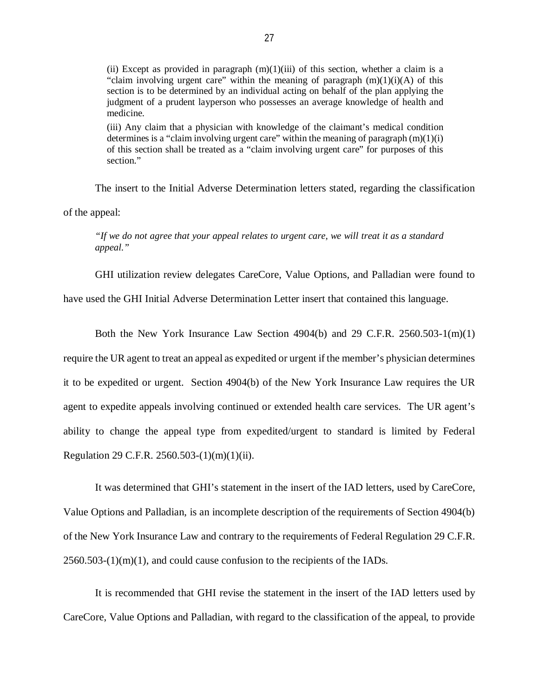(ii) Except as provided in paragraph  $(m)(1)(iii)$  of this section, whether a claim is a "claim involving urgent care" within the meaning of paragraph  $(m)(1)(i)(A)$  of this section is to be determined by an individual acting on behalf of the plan applying the judgment of a prudent layperson who possesses an average knowledge of health and medicine.

medicine.<br>(iii) Any claim that a physician with knowledge of the claimant's medical condition determines is a "claim involving urgent care" within the meaning of paragraph  $(m)(1)(i)$  of this section shall be treated as a "claim involving urgent care" for purposes of this section."

section."<br>The insert to the Initial Adverse Determination letters stated, regarding the classification of the appeal:

 *"If we do not agree that your appeal relates to urgent care, we will treat it as a standard appeal."* 

GHI utilization review delegates CareCore, Value Options, and Palladian were found to

have used the GHI Initial Adverse Determination Letter insert that contained this language.

 Both the New York Insurance Law Section 4904(b) and 29 C.F.R. 2560.503-1(m)(1) require the UR agent to treat an appeal as expedited or urgent if the member's physician determines it to be expedited or urgent. Section 4904(b) of the New York Insurance Law requires the UR agent to expedite appeals involving continued or extended health care services. The UR agent's ability to change the appeal type from expedited/urgent to standard is limited by Federal Regulation 29 C.F.R. 2560.503-(1)(m)(1)(ii).

 It was determined that GHI's statement in the insert of the IAD letters, used by CareCore, Value Options and Palladian, is an incomplete description of the requirements of Section 4904(b) of the New York Insurance Law and contrary to the requirements of Federal Regulation 29 C.F.R.  $2560.503-(1)(m)(1)$ , and could cause confusion to the recipients of the IADs.

 It is recommended that GHI revise the statement in the insert of the IAD letters used by CareCore, Value Options and Palladian, with regard to the classification of the appeal, to provide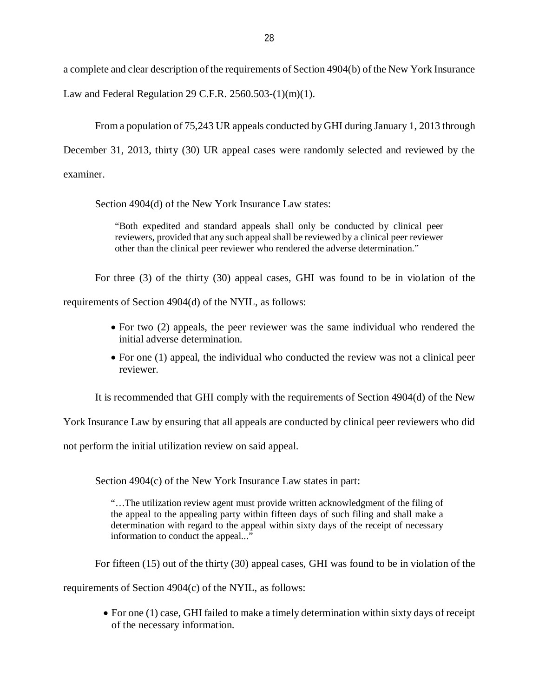a complete and clear description of the requirements of Section 4904(b) of the New York Insurance

Law and Federal Regulation 29 C.F.R. 2560.503-(1)(m)(1).

 From a population of 75,243 UR appeals conducted by GHI during January 1, 2013 through December 31, 2013, thirty (30) UR appeal cases were randomly selected and reviewed by the examiner.

Section 4904(d) of the New York Insurance Law states:

 "Both expedited and standard appeals shall only be conducted by clinical peer reviewers, provided that any such appeal shall be reviewed by a clinical peer reviewer other than the clinical peer reviewer who rendered the adverse determination."

 For three (3) of the thirty (30) appeal cases, GHI was found to be in violation of the requirements of Section 4904(d) of the NYIL, as follows:

- For two (2) appeals, the peer reviewer was the same individual who rendered the initial adverse determination.
- For one (1) appeal, the individual who conducted the review was not a clinical peer reviewer.

It is recommended that GHI comply with the requirements of Section 4904(d) of the New

York Insurance Law by ensuring that all appeals are conducted by clinical peer reviewers who did

not perform the initial utilization review on said appeal.

Section 4904(c) of the New York Insurance Law states in part:

 "…The utilization review agent must provide written acknowledgment of the filing of the appeal to the appealing party within fifteen days of such filing and shall make a determination with regard to the appeal within sixty days of the receipt of necessary information to conduct the appeal..."

For fifteen (15) out of the thirty (30) appeal cases, GHI was found to be in violation of the

requirements of Section 4904(c) of the NYIL, as follows:

 For one (1) case, GHI failed to make a timely determination within sixty days of receipt of the necessary information.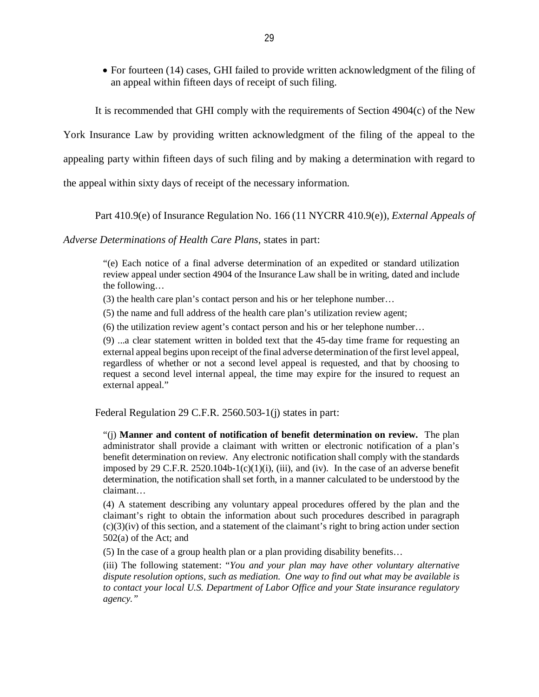For fourteen (14) cases, GHI failed to provide written acknowledgment of the filing of an appeal within fifteen days of receipt of such filing.

It is recommended that GHI comply with the requirements of Section 4904(c) of the New

York Insurance Law by providing written acknowledgment of the filing of the appeal to the

appealing party within fifteen days of such filing and by making a determination with regard to

the appeal within sixty days of receipt of the necessary information.

Part 410.9(e) of Insurance Regulation No. 166 (11 NYCRR 410.9(e)), *External Appeals of* 

 *Adverse Determinations of Health Care Plans*, states in part:

 "(e) Each notice of a final adverse determination of an expedited or standard utilization review appeal under section 4904 of the Insurance Law shall be in writing, dated and include the following…

(3) the health care plan's contact person and his or her telephone number…

(5) the name and full address of the health care plan's utilization review agent;

(6) the utilization review agent's contact person and his or her telephone number…

 (9) ...a clear statement written in bolded text that the 45-day time frame for requesting an external appeal begins upon receipt of the final adverse determination of the first level appeal, regardless of whether or not a second level appeal is requested, and that by choosing to request a second level internal appeal, the time may expire for the insured to request an external appeal."

Federal Regulation 29 C.F.R. 2560.503-1(j) states in part:

 "(j) **Manner and content of notification of benefit determination on review.** The plan administrator shall provide a claimant with written or electronic notification of a plan's benefit determination on review. Any electronic notification shall comply with the standards imposed by 29 C.F.R. 2520.104b-1(c)(1)(i), (iii), and (iv). In the case of an adverse benefit determination, the notification shall set forth, in a manner calculated to be understood by the claimant…

 (4) A statement describing any voluntary appeal procedures offered by the plan and the claimant's right to obtain the information about such procedures described in paragraph (c)(3)(iv) of this section, and a statement of the claimant's right to bring action under section 502(a) of the Act; and

(5) In the case of a group health plan or a plan providing disability benefits…

 (iii) The following statement: "*You and your plan may have other voluntary alternative dispute resolution options, such as mediation. One way to find out what may be available is to contact your local U.S. Department of Labor Office and your State insurance regulatory agency."*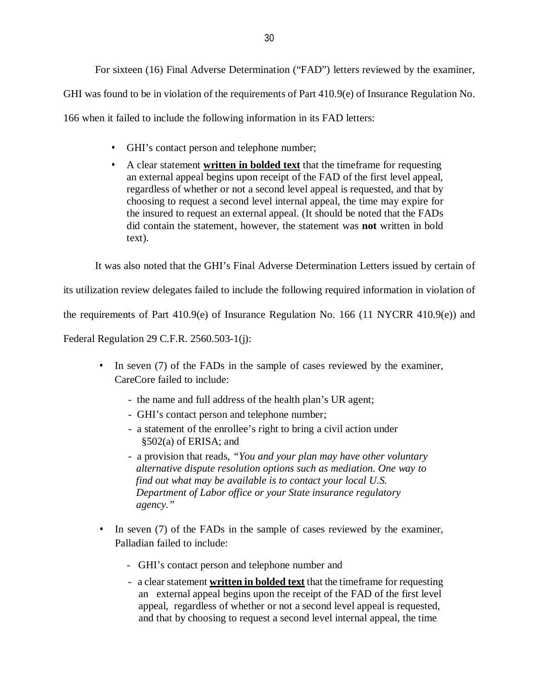For sixteen (16) Final Adverse Determination ("FAD") letters reviewed by the examiner,

GHI was found to be in violation of the requirements of Part 410.9(e) of Insurance Regulation No.

166 when it failed to include the following information in its FAD letters:

- GHI's contact person and telephone number;
- • A clear statement **written in bolded text** that the timeframe for requesting an external appeal begins upon receipt of the FAD of the first level appeal, regardless of whether or not a second level appeal is requested, and that by choosing to request a second level internal appeal, the time may expire for the insured to request an external appeal. (It should be noted that the FADs did contain the statement, however, the statement was **not** written in bold text).

It was also noted that the GHI's Final Adverse Determination Letters issued by certain of

its utilization review delegates failed to include the following required information in violation of

the requirements of Part 410.9(e) of Insurance Regulation No. 166 (11 NYCRR 410.9(e)) and

Federal Regulation 29 C.F.R. 2560.503-1(j):

- • In seven (7) of the FADs in the sample of cases reviewed by the examiner, CareCore failed to include:
	- the name and full address of the health plan's UR agent;
	- GHI's contact person and telephone number;
	- a statement of the enrollee's right to bring a civil action under §502(a) of ERISA; and
	- a provision that reads, *"You and your plan may have other voluntary alternative dispute resolution options such as mediation. One way to find out what may be available is to contact your local U.S. Department of Labor office or your State insurance regulatory agency."*
- • In seven (7) of the FADs in the sample of cases reviewed by the examiner, Palladian failed to include:
	- GHI's contact person and telephone number and
	- a clear statement **written in bolded text** that the timeframe for requesting an external appeal begins upon the receipt of the FAD of the first level appeal, regardless of whether or not a second level appeal is requested, and that by choosing to request a second level internal appeal, the time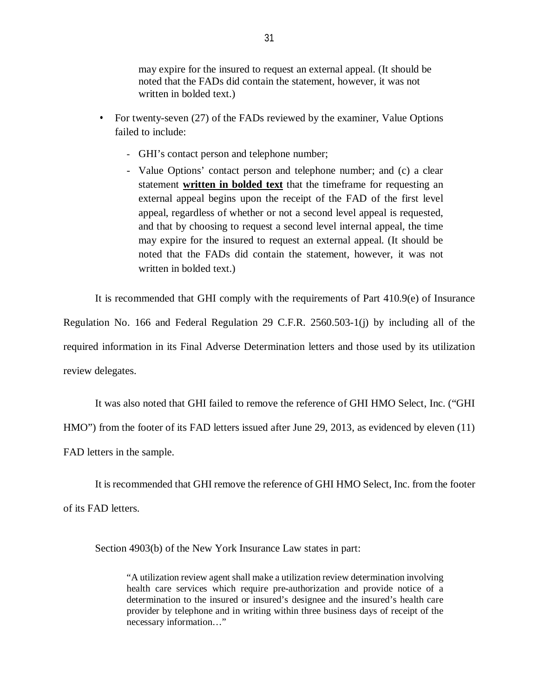may expire for the insured to request an external appeal. (It should be noted that the FADs did contain the statement, however, it was not written in bolded text.)

- • For twenty-seven (27) of the FADs reviewed by the examiner, Value Options failed to include:
	- GHI's contact person and telephone number;
	- - Value Options' contact person and telephone number; and (c) a clear  statement **written in bolded text** that the timeframe for requesting an external appeal begins upon the receipt of the FAD of the first level appeal, regardless of whether or not a second level appeal is requested, and that by choosing to request a second level internal appeal, the time may expire for the insured to request an external appeal. (It should be noted that the FADs did contain the statement, however, it was not written in bolded text.)

 It is recommended that GHI comply with the requirements of Part 410.9(e) of Insurance Regulation No. 166 and Federal Regulation 29 C.F.R. 2560.503-1(j) by including all of the required information in its Final Adverse Determination letters and those used by its utilization review delegates.

 It was also noted that GHI failed to remove the reference of GHI HMO Select, Inc. ("GHI HMO") from the footer of its FAD letters issued after June 29, 2013, as evidenced by eleven (11) FAD letters in the sample.

 It is recommended that GHI remove the reference of GHI HMO Select, Inc. from the footer of its FAD letters.

Section 4903(b) of the New York Insurance Law states in part:

 "A utilization review agent shall make a utilization review determination involving health care services which require pre-authorization and provide notice of a determination to the insured or insured's designee and the insured's health care provider by telephone and in writing within three business days of receipt of the necessary information…"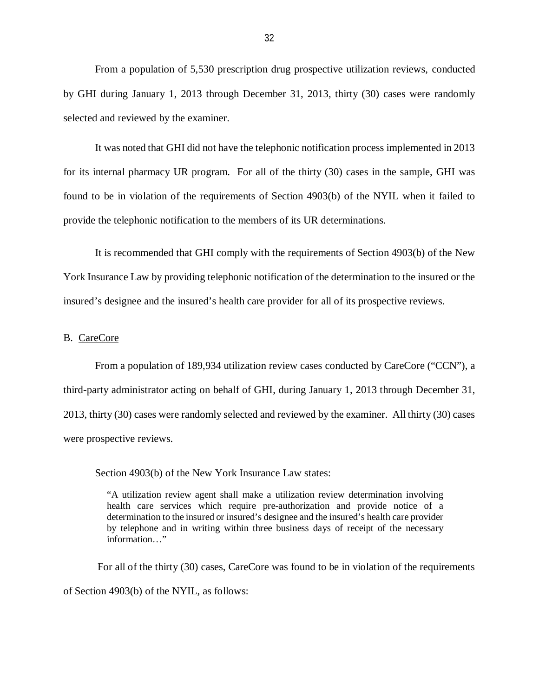<span id="page-33-0"></span> From a population of 5,530 prescription drug prospective utilization reviews, conducted by GHI during January 1, 2013 through December 31, 2013, thirty (30) cases were randomly selected and reviewed by the examiner.

 It was noted that GHI did not have the telephonic notification process implemented in 2013 for its internal pharmacy UR program. For all of the thirty (30) cases in the sample, GHI was found to be in violation of the requirements of Section 4903(b) of the NYIL when it failed to provide the telephonic notification to the members of its UR determinations.

 It is recommended that GHI comply with the requirements of Section 4903(b) of the New York Insurance Law by providing telephonic notification of the determination to the insured or the insured's designee and the insured's health care provider for all of its prospective reviews.

#### B. CareCore

 From a population of 189,934 utilization review cases conducted by CareCore ("CCN"), a third-party administrator acting on behalf of GHI, during January 1, 2013 through December 31, 2013, thirty (30) cases were randomly selected and reviewed by the examiner. All thirty (30) cases were prospective reviews.

Section 4903(b) of the New York Insurance Law states:

 "A utilization review agent shall make a utilization review determination involving health care services which require pre-authorization and provide notice of a determination to the insured or insured's designee and the insured's health care provider by telephone and in writing within three business days of receipt of the necessary information…"

 For all of the thirty (30) cases, CareCore was found to be in violation of the requirements of Section 4903(b) of the NYIL, as follows: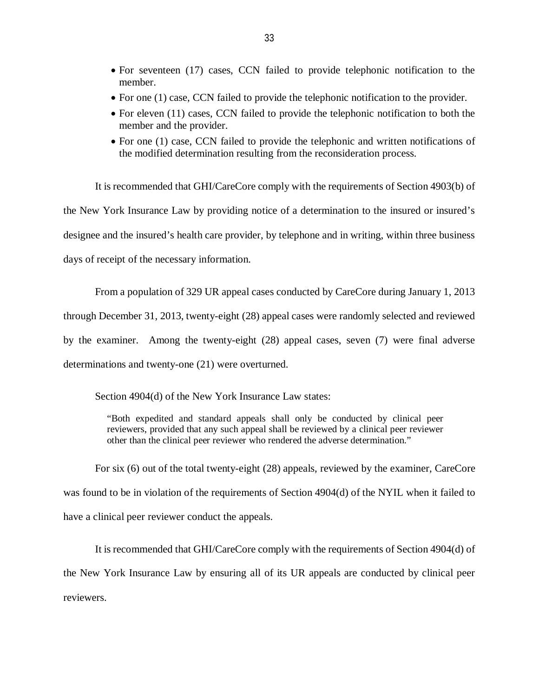- For seventeen (17) cases, CCN failed to provide telephonic notification to the member.
- For one (1) case, CCN failed to provide the telephonic notification to the provider.
- For eleven (11) cases, CCN failed to provide the telephonic notification to both the member and the provider.
- For one (1) case, CCN failed to provide the telephonic and written notifications of the modified determination resulting from the reconsideration process.

 It is recommended that GHI/CareCore comply with the requirements of Section 4903(b) of the New York Insurance Law by providing notice of a determination to the insured or insured's designee and the insured's health care provider, by telephone and in writing, within three business days of receipt of the necessary information.

 From a population of 329 UR appeal cases conducted by CareCore during January 1, 2013 through December 31, 2013, twenty-eight (28) appeal cases were randomly selected and reviewed by the examiner. Among the twenty-eight (28) appeal cases, seven (7) were final adverse determinations and twenty-one (21) were overturned.

Section 4904(d) of the New York Insurance Law states:

 "Both expedited and standard appeals shall only be conducted by clinical peer reviewers, provided that any such appeal shall be reviewed by a clinical peer reviewer other than the clinical peer reviewer who rendered the adverse determination."

 For six (6) out of the total twenty-eight (28) appeals, reviewed by the examiner, CareCore was found to be in violation of the requirements of Section 4904(d) of the NYIL when it failed to have a clinical peer reviewer conduct the appeals.

 It is recommended that GHI/CareCore comply with the requirements of Section 4904(d) of the New York Insurance Law by ensuring all of its UR appeals are conducted by clinical peer reviewers.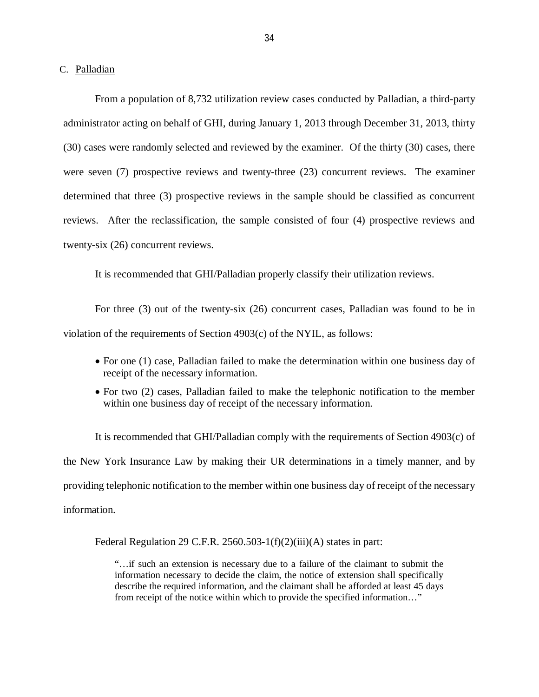<span id="page-35-0"></span>C. Palladian

 From a population of 8,732 utilization review cases conducted by Palladian, a third-party administrator acting on behalf of GHI, during January 1, 2013 through December 31, 2013, thirty (30) cases were randomly selected and reviewed by the examiner. Of the thirty (30) cases, there were seven (7) prospective reviews and twenty-three (23) concurrent reviews. The examiner determined that three (3) prospective reviews in the sample should be classified as concurrent reviews. After the reclassification, the sample consisted of four (4) prospective reviews and twenty-six (26) concurrent reviews.

It is recommended that GHI/Palladian properly classify their utilization reviews.

 For three (3) out of the twenty-six (26) concurrent cases, Palladian was found to be in violation of the requirements of Section 4903(c) of the NYIL, as follows:

- For one (1) case, Palladian failed to make the determination within one business day of receipt of the necessary information.
- For two (2) cases, Palladian failed to make the telephonic notification to the member within one business day of receipt of the necessary information.

 It is recommended that GHI/Palladian comply with the requirements of Section 4903(c) of the New York Insurance Law by making their UR determinations in a timely manner, and by providing telephonic notification to the member within one business day of receipt of the necessary information.

Federal Regulation 29 C.F.R. 2560.503-1(f)(2)(iii)(A) states in part:

 "…if such an extension is necessary due to a failure of the claimant to submit the information necessary to decide the claim, the notice of extension shall specifically describe the required information, and the claimant shall be afforded at least 45 days from receipt of the notice within which to provide the specified information…"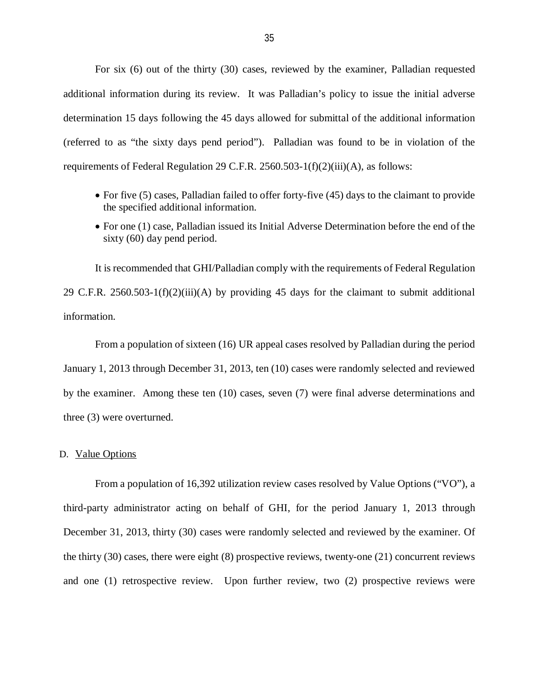<span id="page-36-0"></span> For six (6) out of the thirty (30) cases, reviewed by the examiner, Palladian requested additional information during its review. It was Palladian's policy to issue the initial adverse determination 15 days following the 45 days allowed for submittal of the additional information (referred to as "the sixty days pend period"). Palladian was found to be in violation of the requirements of Federal Regulation 29 C.F.R. 2560.503-1(f)(2)(iii)(A), as follows:

- For five (5) cases, Palladian failed to offer forty-five (45) days to the claimant to provide the specified additional information.
- For one (1) case, Palladian issued its Initial Adverse Determination before the end of the sixty (60) day pend period.

 It is recommended that GHI/Palladian comply with the requirements of Federal Regulation 29 C.F.R. 2560.503-1(f)(2)(iii)(A) by providing 45 days for the claimant to submit additional information.

 From a population of sixteen (16) UR appeal cases resolved by Palladian during the period January 1, 2013 through December 31, 2013, ten (10) cases were randomly selected and reviewed by the examiner. Among these ten (10) cases, seven (7) were final adverse determinations and three (3) were overturned.

#### D. Value Options

 From a population of 16,392 utilization review cases resolved by Value Options ("VO"), a third-party administrator acting on behalf of GHI, for the period January 1, 2013 through December 31, 2013, thirty (30) cases were randomly selected and reviewed by the examiner. Of the thirty (30) cases, there were eight (8) prospective reviews, twenty-one (21) concurrent reviews and one (1) retrospective review. Upon further review, two (2) prospective reviews were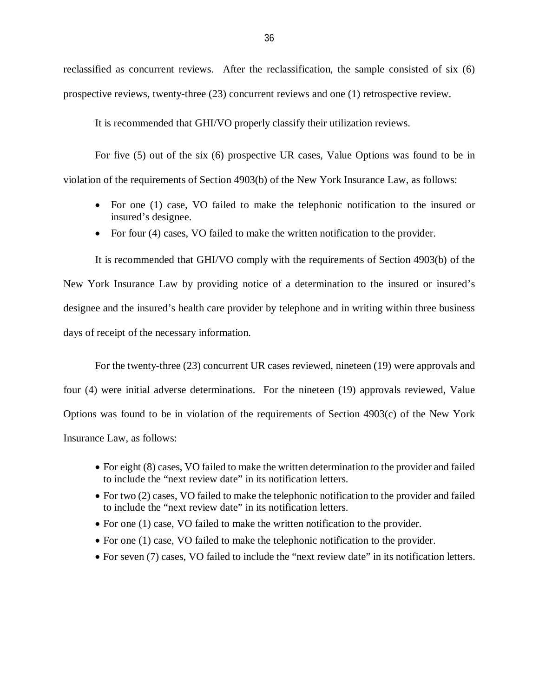reclassified as concurrent reviews. After the reclassification, the sample consisted of six (6) prospective reviews, twenty-three (23) concurrent reviews and one (1) retrospective review.

It is recommended that GHI/VO properly classify their utilization reviews.

 For five (5) out of the six (6) prospective UR cases, Value Options was found to be in violation of the requirements of Section 4903(b) of the New York Insurance Law, as follows:

- For one (1) case, VO failed to make the telephonic notification to the insured or insured's designee.
- For four (4) cases, VO failed to make the written notification to the provider.

 It is recommended that GHI/VO comply with the requirements of Section 4903(b) of the New York Insurance Law by providing notice of a determination to the insured or insured's designee and the insured's health care provider by telephone and in writing within three business days of receipt of the necessary information.

 For the twenty-three (23) concurrent UR cases reviewed, nineteen (19) were approvals and four (4) were initial adverse determinations. For the nineteen (19) approvals reviewed, Value Options was found to be in violation of the requirements of Section 4903(c) of the New York Insurance Law, as follows:

- For eight (8) cases, VO failed to make the written determination to the provider and failed to include the "next review date" in its notification letters.
- For two (2) cases, VO failed to make the telephonic notification to the provider and failed to include the "next review date" in its notification letters.
- For one (1) case, VO failed to make the written notification to the provider.
- For one (1) case, VO failed to make the telephonic notification to the provider.
- For seven (7) cases, VO failed to include the "next review date" in its notification letters.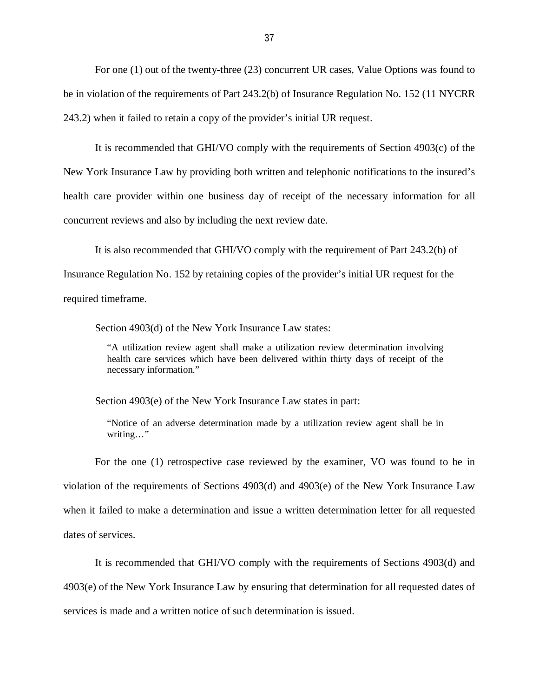For one (1) out of the twenty-three (23) concurrent UR cases, Value Options was found to be in violation of the requirements of Part 243.2(b) of Insurance Regulation No. 152 (11 NYCRR 243.2) when it failed to retain a copy of the provider's initial UR request.

 It is recommended that GHI/VO comply with the requirements of Section 4903(c) of the New York Insurance Law by providing both written and telephonic notifications to the insured's health care provider within one business day of receipt of the necessary information for all concurrent reviews and also by including the next review date.

 It is also recommended that GHI/VO comply with the requirement of Part 243.2(b) of Insurance Regulation No. 152 by retaining copies of the provider's initial UR request for the required timeframe.

Section 4903(d) of the New York Insurance Law states:

 "A utilization review agent shall make a utilization review determination involving health care services which have been delivered within thirty days of receipt of the necessary information."

Section 4903(e) of the New York Insurance Law states in part:

 "Notice of an adverse determination made by a utilization review agent shall be in writing…"

 For the one (1) retrospective case reviewed by the examiner, VO was found to be in violation of the requirements of Sections 4903(d) and 4903(e) of the New York Insurance Law when it failed to make a determination and issue a written determination letter for all requested dates of services.

 It is recommended that GHI/VO comply with the requirements of Sections 4903(d) and 4903(e) of the New York Insurance Law by ensuring that determination for all requested dates of services is made and a written notice of such determination is issued.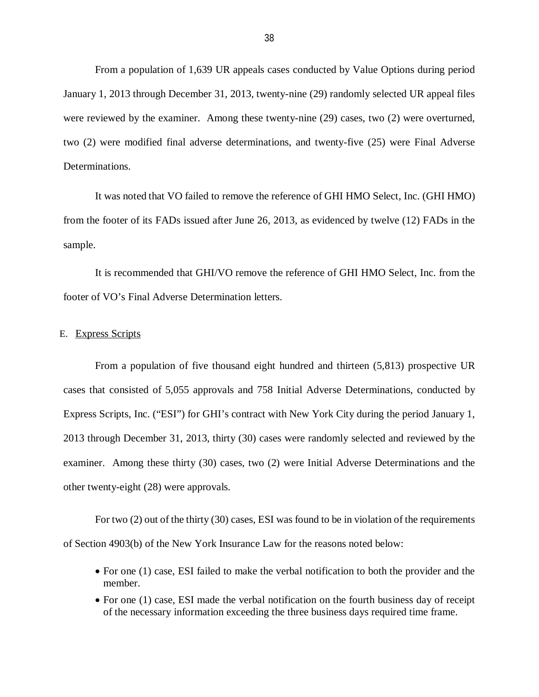<span id="page-39-0"></span> From a population of 1,639 UR appeals cases conducted by Value Options during period January 1, 2013 through December 31, 2013, twenty-nine (29) randomly selected UR appeal files were reviewed by the examiner. Among these twenty-nine (29) cases, two (2) were overturned, two (2) were modified final adverse determinations, and twenty-five (25) were Final Adverse Determinations.

 It was noted that VO failed to remove the reference of GHI HMO Select, Inc. (GHI HMO) from the footer of its FADs issued after June 26, 2013, as evidenced by twelve (12) FADs in the sample.

sample.<br>It is recommended that GHI/VO remove the reference of GHI HMO Select, Inc. from the footer of VO's Final Adverse Determination letters.

#### E. Express Scripts

 From a population of five thousand eight hundred and thirteen (5,813) prospective UR cases that consisted of 5,055 approvals and 758 Initial Adverse Determinations, conducted by Express Scripts, Inc. ("ESI") for GHI's contract with New York City during the period January 1, 2013 through December 31, 2013, thirty (30) cases were randomly selected and reviewed by the examiner. Among these thirty (30) cases, two (2) were Initial Adverse Determinations and the other twenty-eight (28) were approvals.

 For two (2) out of the thirty (30) cases, ESI was found to be in violation of the requirements of Section 4903(b) of the New York Insurance Law for the reasons noted below:

- For one (1) case, ESI failed to make the verbal notification to both the provider and the member.
- For one (1) case, ESI made the verbal notification on the fourth business day of receipt of the necessary information exceeding the three business days required time frame.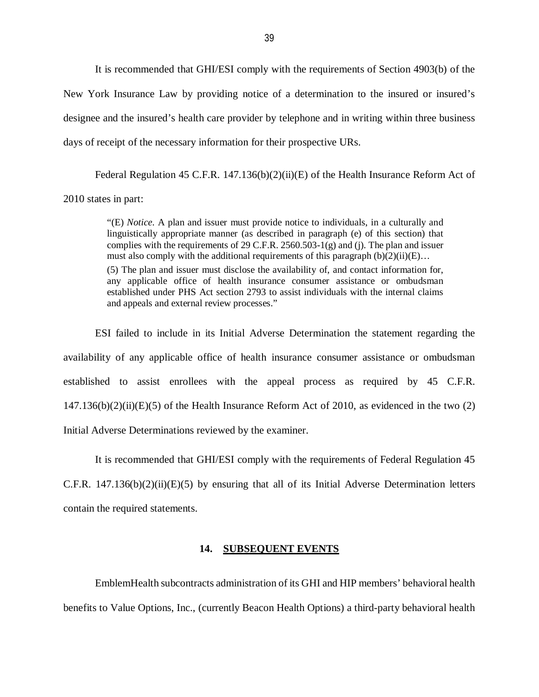<span id="page-40-0"></span> It is recommended that GHI/ESI comply with the requirements of Section 4903(b) of the New York Insurance Law by providing notice of a determination to the insured or insured's designee and the insured's health care provider by telephone and in writing within three business days of receipt of the necessary information for their prospective URs.

Federal Regulation 45 C.F.R. 147.136(b)(2)(ii)(E) of the Health Insurance Reform Act of 2010 states in part:

> "(E) *Notice*. A plan and issuer must provide notice to individuals, in a culturally and linguistically appropriate manner (as described in paragraph (e) of this section) that complies with the requirements of 29 C.F.R. 2560.503-1(g) and (j). The plan and issuer must also comply with the additional requirements of this paragraph  $(b)(2)(ii)(E)...$  (5) The plan and issuer must disclose the availability of, and contact information for, any applicable office of health insurance consumer assistance or ombudsman established under PHS Act section 2793 to assist individuals with the internal claims

 ESI failed to include in its Initial Adverse Determination the statement regarding the availability of any applicable office of health insurance consumer assistance or ombudsman established to assist enrollees with the appeal process as required by 45 C.F.R.  $147.136(b)(2)(ii)(E)(5)$  of the Health Insurance Reform Act of 2010, as evidenced in the two  $(2)$ Initial Adverse Determinations reviewed by the examiner.

and appeals and external review processes."

 It is recommended that GHI/ESI comply with the requirements of Federal Regulation 45 C.F.R.  $147.136(b)(2)(ii)(E)(5)$  by ensuring that all of its Initial Adverse Determination letters contain the required statements.

#### **14. SUBSEQUENT EVENTS**

 EmblemHealth subcontracts administration of its GHI and HIP members' behavioral health benefits to Value Options, Inc., (currently Beacon Health Options) a third-party behavioral health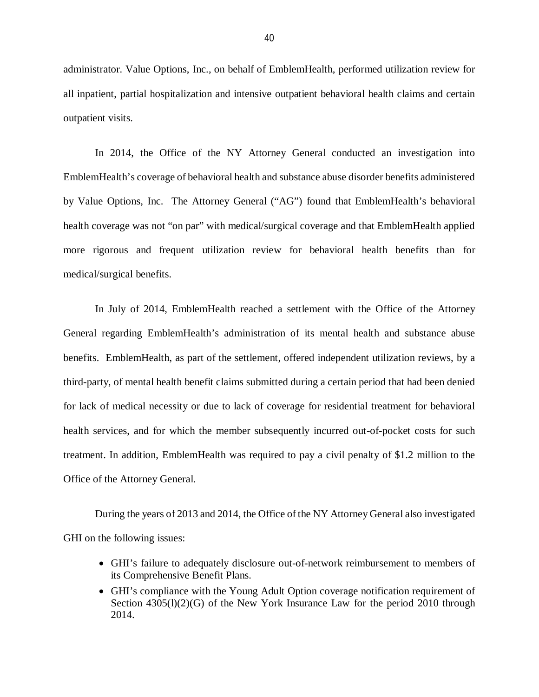administrator. Value Options, Inc., on behalf of EmblemHealth, performed utilization review for all inpatient, partial hospitalization and intensive outpatient behavioral health claims and certain outpatient visits.

 In 2014, the Office of the NY Attorney General conducted an investigation into EmblemHealth's coverage of behavioral health and substance abuse disorder benefits administered by Value Options, Inc. The Attorney General ("AG") found that EmblemHealth's behavioral health coverage was not "on par" with medical/surgical coverage and that EmblemHealth applied more rigorous and frequent utilization review for behavioral health benefits than for medical/surgical benefits.

 In July of 2014, EmblemHealth reached a settlement with the Office of the Attorney General regarding EmblemHealth's administration of its mental health and substance abuse benefits. EmblemHealth, as part of the settlement, offered independent utilization reviews, by a third-party, of mental health benefit claims submitted during a certain period that had been denied for lack of medical necessity or due to lack of coverage for residential treatment for behavioral health services, and for which the member subsequently incurred out-of-pocket costs for such treatment. In addition, EmblemHealth was required to pay a civil penalty of \$1.2 million to the Office of the Attorney General.

 During the years of 2013 and 2014, the Office of the NY Attorney General also investigated GHI on the following issues:

- GHI's failure to adequately disclosure out-of-network reimbursement to members of its Comprehensive Benefit Plans.
- GHI's compliance with the Young Adult Option coverage notification requirement of Section 4305(l)(2)(G) of the New York Insurance Law for the period 2010 through 2014.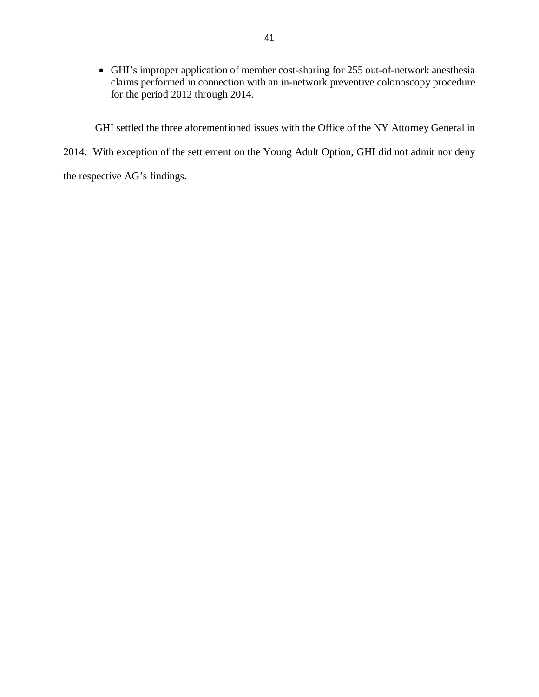GHI's improper application of member cost-sharing for 255 out-of-network anesthesia claims performed in connection with an in-network preventive colonoscopy procedure for the period 2012 through 2014.

GHI settled the three aforementioned issues with the Office of the NY Attorney General in

2014. With exception of the settlement on the Young Adult Option, GHI did not admit nor deny

the respective AG's findings.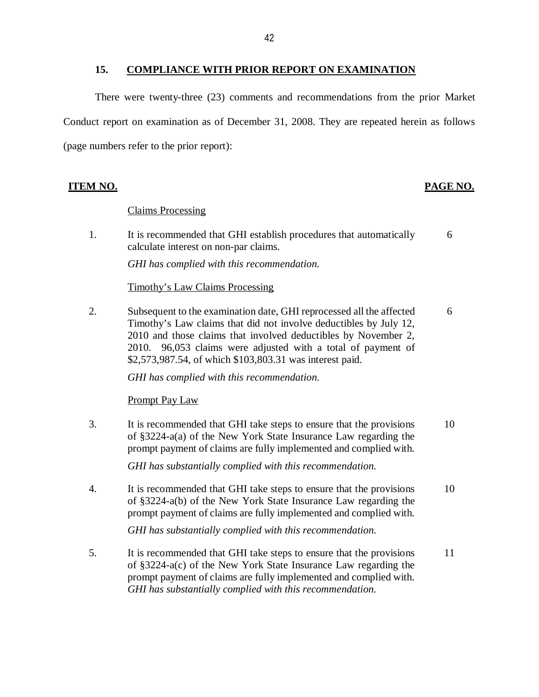#### **15. COMPLIANCE WITH PRIOR REPORT ON EXAMINATION**

<span id="page-43-0"></span> There were twenty-three (23) comments and recommendations from the prior Market Conduct report on examination as of December 31, 2008. They are repeated herein as follows (page numbers refer to the prior report):

#### **ITEM NO. PAGE NO.**

#### Claims Processing

1. calculate interest on non-par claims. It is recommended that GHI establish procedures that automatically 6

 *GHI has complied with this recommendation.* 

#### Timothy's Law Claims Processing

2. Subsequent to the examination date, GHI reprocessed all the affected 6 Timothy's Law claims that did not involve deductibles by July 12, 2010 and those claims that involved deductibles by November 2, 2010. 96,053 claims were adjusted with a total of payment of \$[2,573,987.54,](https://2,573,987.54) of which [\\$103,803.31](https://103,803.31) was interest paid.

 *GHI has complied with this recommendation.* 

#### Prompt Pay Law

3. of §3224-a(a) of the New York State Insurance Law regarding the prompt payment of claims are fully implemented and complied with. It is recommended that GHI take steps to ensure that the provisions 10

 *GHI has substantially complied with this recommendation.* 

4. of §3224-a(b) of the New York State Insurance Law regarding the prompt payment of claims are fully implemented and complied with. It is recommended that GHI take steps to ensure that the provisions 10

 *GHI has substantially complied with this recommendation.* 

 $5<sub>1</sub>$  of §3224-a(c) of the New York State Insurance Law regarding the prompt payment of claims are fully implemented and complied with.  *GHI has substantially complied with this recommendation.* It is recommended that GHI take steps to ensure that the provisions 11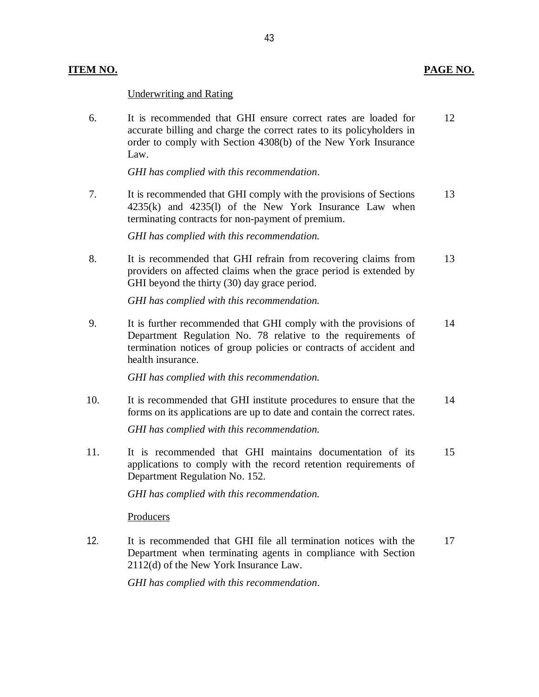#### Underwriting and Rating

 $6<sub>l</sub>$  accurate billing and charge the correct rates to its policyholders in order to comply with Section 4308(b) of the New York Insurance It is recommended that GHI ensure correct rates are loaded for 12 Law.

 *GHI has complied with this recommendation*.

 $7.$  4235(k) and 4235(l) of the New York Insurance Law when terminating contracts for non-payment of premium. It is recommended that GHI comply with the provisions of Sections 13

 *GHI has complied with this recommendation.* 

 $8<sub>1</sub>$  providers on affected claims when the grace period is extended by GHI beyond the thirty (30) day grace period. It is recommended that GHI refrain from recovering claims from 13

 *GHI has complied with this recommendation.* 

9. Department Regulation No. 78 relative to the requirements of termination notices of group policies or contracts of accident and health insurance. It is further recommended that GHI comply with the provisions of 14

 *GHI has complied with this recommendation.* 

 $10<sub>l</sub>$  forms on its applications are up to date and contain the correct rates. It is recommended that GHI institute procedures to ensure that the 14

 *GHI has complied with this recommendation.* 

 11. It is recommended that GHI maintains documentation of its 15 applications to comply with the record retention requirements of Department Regulation No. 152.

 *GHI has complied with this recommendation.* 

**Producers** 

 12. It is recommended that GHI file all termination notices with the 17 Department when terminating agents in compliance with Section 2112(d) of the New York Insurance Law.

 *GHI has complied with this recommendation*.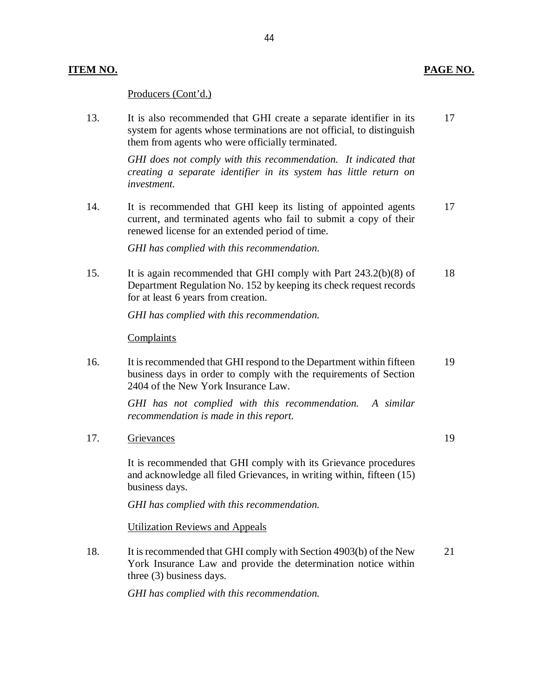#### **ITEM NO. PAGE NO.**

#### Producers (Cont'd.)

13. system for agents whose terminations are not official, to distinguish them from agents who were officially terminated. It is also recommended that GHI create a separate identifier in its 17

> *GHI does not comply with this recommendation. It indicated that creating a separate identifier in its system has little return on investment.*

 $14$  current, and terminated agents who fail to submit a copy of their renewed license for an extended period of time. It is recommended that GHI keep its listing of appointed agents 17

 *GHI has complied with this recommendation.* 

15. Department Regulation No. 152 by keeping its check request records for at least 6 years from creation. It is again recommended that GHI comply with Part  $243.2(b)(8)$  of 18

 *GHI has complied with this recommendation.* 

#### **Complaints**

16. business days in order to comply with the requirements of Section 2404 of the New York Insurance Law. It is recommended that GHI respond to the Department within fifteen 19

> *GHI has not complied with this recommendation. A similar recommendation is made in this report.*

17. Grievances 19

 and acknowledge all filed Grievances, in writing within, fifteen (15) business days. It is recommended that GHI comply with its Grievance procedures

 *GHI has complied with this recommendation.* 

Utilization Reviews and Appeals

18. York Insurance Law and provide the determination notice within three (3) business days. It is recommended that GHI comply with Section 4903(b) of the New 21

 *GHI has complied with this recommendation.*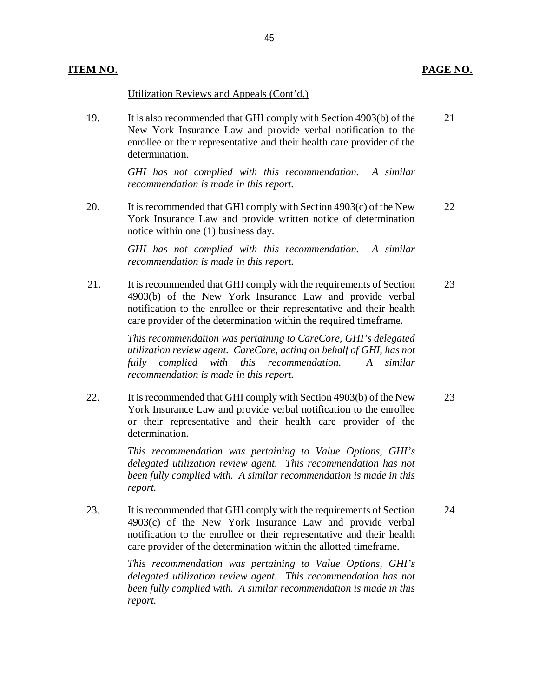#### Utilization Reviews and Appeals (Cont'd.)

19. New York Insurance Law and provide verbal notification to the enrollee or their representative and their health care provider of the It is also recommended that GHI comply with Section 4903(b) of the 21 determination.

> *GHI has not complied with this recommendation. A similar recommendation is made in this report.*

20. York Insurance Law and provide written notice of determination notice within one (1) business day. It is recommended that GHI comply with Section  $4903(c)$  of the New 22

> *GHI has not complied with this recommendation. A similar recommendation is made in this report.*

21. 4903(b) of the New York Insurance Law and provide verbal notification to the enrollee or their representative and their health care provider of the determination within the required timeframe. It is recommended that GHI comply with the requirements of Section 23

> *This recommendation was pertaining to CareCore, GHI's delegated utilization review agent. CareCore, acting on behalf of GHI, has not fully complied with this recommendation. A similar recommendation is made in this report.*

22. York Insurance Law and provide verbal notification to the enrollee or their representative and their health care provider of the It is recommended that GHI comply with Section 4903(b) of the New 23 determination.

> *This recommendation was pertaining to Value Options, GHI's delegated utilization review agent. This recommendation has not been fully complied with. A similar recommendation is made in this report.*

23. 4903(c) of the New York Insurance Law and provide verbal notification to the enrollee or their representative and their health care provider of the determination within the allotted timeframe. It is recommended that GHI comply with the requirements of Section 24

> *This recommendation was pertaining to Value Options, GHI's delegated utilization review agent. This recommendation has not been fully complied with. A similar recommendation is made in this report.*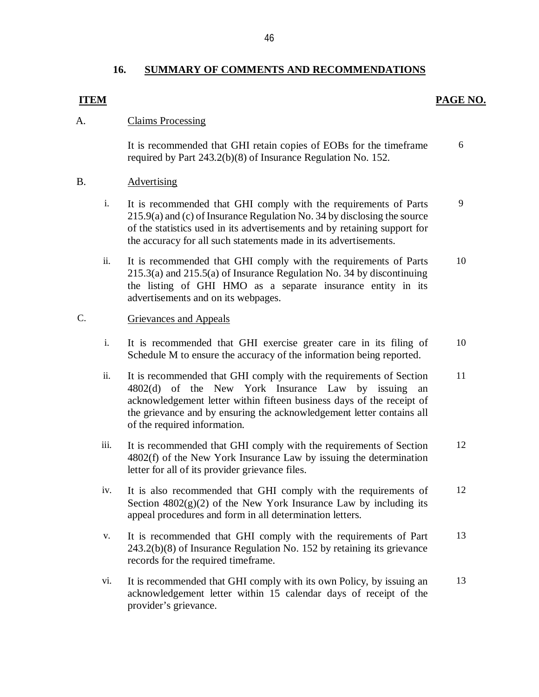#### **16. SUMMARY OF COMMENTS AND RECOMMENDATIONS**

#### **ITEM**

#### **PAGE NO.**

#### A. Claims Processing

 It is recommended that GHI retain copies of EOBs for the timeframe required by Part 243.2(b)(8) of Insurance Regulation No. 152. 6

#### B. Advertising

- i. It is recommended that GHI comply with the requirements of Parts 215.9(a) and (c) of Insurance Regulation No. 34 by disclosing the source of the statistics used in its advertisements and by retaining support for the accuracy for all such statements made in its advertisements. 9
- ii. It is recommended that GHI comply with the requirements of Parts 215.3(a) and 215.5(a) of Insurance Regulation No. 34 by discontinuing the listing of GHI HMO as a separate insurance entity in its advertisements and on its webpages. 10

#### C. Grievances and Appeals

- i. It is recommended that GHI exercise greater care in its filing of Schedule M to ensure the accuracy of the information being reported. 10
- ii. It is recommended that GHI comply with the requirements of Section 4802(d) of the New York Insurance Law by issuing an acknowledgement letter within fifteen business days of the receipt of the grievance and by ensuring the acknowledgement letter contains all of the required information. 11
- iii. It is recommended that GHI comply with the requirements of Section 4802(f) of the New York Insurance Law by issuing the determination letter for all of its provider grievance files. 12
- iv. It is also recommended that GHI comply with the requirements of Section  $4802(g)(2)$  of the New York Insurance Law by including its appeal procedures and form in all determination letters. 12
- v. It is recommended that GHI comply with the requirements of Part 243.2(b)(8) of Insurance Regulation No. 152 by retaining its grievance records for the required timeframe. 13
- vi. It is recommended that GHI comply with its own Policy, by issuing an acknowledgement letter within 15 calendar days of receipt of the provider's grievance. 13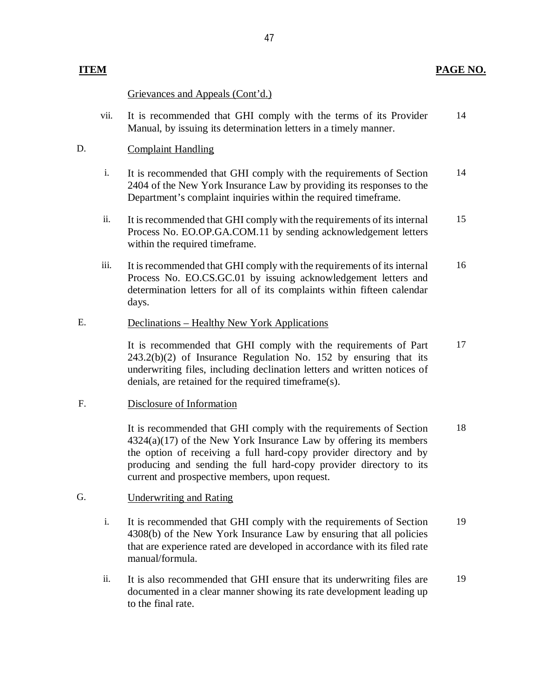#### **ITEM**

### Grievances and Appeals (Cont'd.)

 vii. It is recommended that GHI comply with the terms of its Provider Manual, by issuing its determination letters in a timely manner. 14

#### D. Complaint Handling

- i. It is recommended that GHI comply with the requirements of Section 2404 of the New York Insurance Law by providing its responses to the Department's complaint inquiries within the required timeframe. 14
- ii. It is recommended that GHI comply with the requirements of its internal Process No. EO.OP.GA.COM.11 by sending acknowledgement letters within the required timeframe. 15
- iii. It is recommended that GHI comply with the requirements of its internal Process No. [EO.CS.GC.01](https://EO.CS.GC.01) by issuing acknowledgement letters and determination letters for all of its complaints within fifteen calendar days. 16

#### E. Declinations – Healthy New York Applications

 It is recommended that GHI comply with the requirements of Part 243.2(b)(2) of Insurance Regulation No. 152 by ensuring that its underwriting files, including declination letters and written notices of denials, are retained for the required timeframe(s). 17

#### F. Disclosure of Information

 It is recommended that GHI comply with the requirements of Section  $4324(a)(17)$  of the New York Insurance Law by offering its members the option of receiving a full hard-copy provider directory and by producing and sending the full hard-copy provider directory to its current and prospective members, upon request. 18

#### G. Underwriting and Rating

- i. It is recommended that GHI comply with the requirements of Section 4308(b) of the New York Insurance Law by ensuring that all policies that are experience rated are developed in accordance with its filed rate manual/formula. 19
- ii. It is also recommended that GHI ensure that its underwriting files are documented in a clear manner showing its rate development leading up to the final rate. 19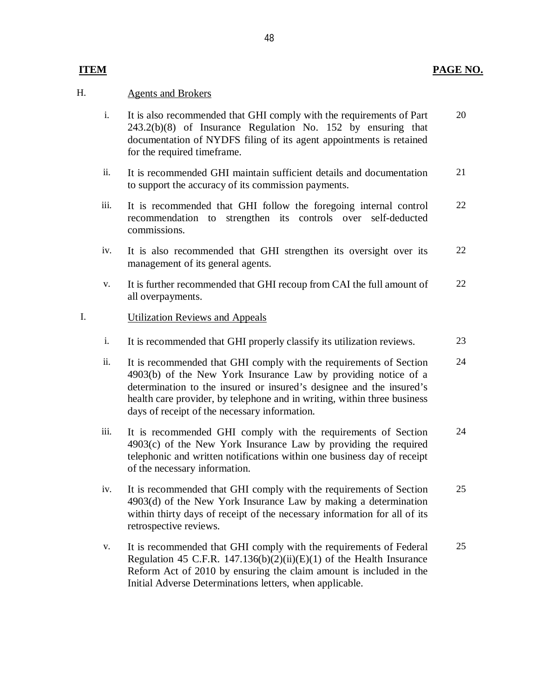#### **PAGE NO.**

#### **ITEM**

#### H. Agents and Brokers

- i. It is also recommended that GHI comply with the requirements of Part 243.2(b)(8) of Insurance Regulation No. 152 by ensuring that documentation of NYDFS filing of its agent appointments is retained for the required timeframe. 20
- ii. It is recommended GHI maintain sufficient details and documentation to support the accuracy of its commission payments. 21
- iii. It is recommended that GHI follow the foregoing internal control recommendation to strengthen its controls over self-deducted commissions. 22
- iv. It is also recommended that GHI strengthen its oversight over its management of its general agents. 22
- v. It is further recommended that GHI recoup from CAI the full amount of all overpayments. 22

#### I. **Utilization Reviews and Appeals**

- i. It is recommended that GHI properly classify its utilization reviews. 23
- ii. It is recommended that GHI comply with the requirements of Section 4903(b) of the New York Insurance Law by providing notice of a determination to the insured or insured's designee and the insured's health care provider, by telephone and in writing, within three business days of receipt of the necessary information. 24
- iii. It is recommended GHI comply with the requirements of Section 4903(c) of the New York Insurance Law by providing the required telephonic and written notifications within one business day of receipt of the necessary information. 24
- iv. It is recommended that GHI comply with the requirements of Section 4903(d) of the New York Insurance Law by making a determination within thirty days of receipt of the necessary information for all of its retrospective reviews. 25
- v. It is recommended that GHI comply with the requirements of Federal Regulation 45 C.F.R. 147.136(b)(2)(ii)(E)(1) of the Health Insurance Reform Act of 2010 by ensuring the claim amount is included in the Initial Adverse Determinations letters, when applicable. 25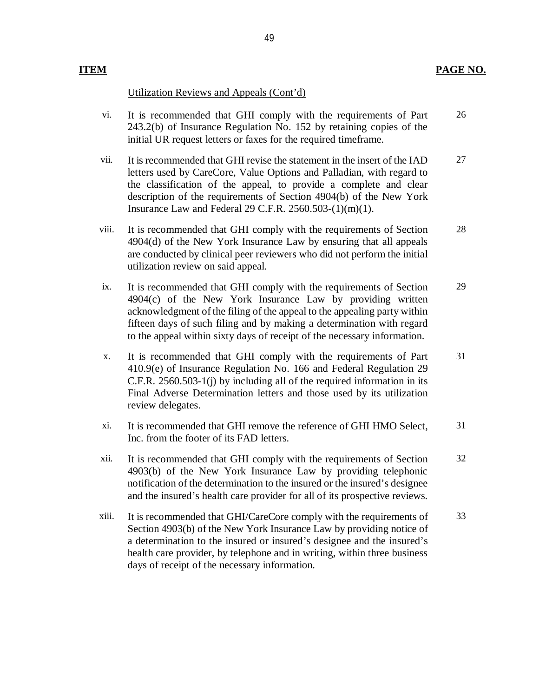#### **ITEM**

Utilization Reviews and Appeals (Cont'd)

- vi. It is recommended that GHI comply with the requirements of Part 243.2(b) of Insurance Regulation No. 152 by retaining copies of the initial UR request letters or faxes for the required timeframe. 26
- vii. It is recommended that GHI revise the statement in the insert of the IAD letters used by CareCore, Value Options and Palladian, with regard to the classification of the appeal, to provide a complete and clear description of the requirements of Section 4904(b) of the New York Insurance Law and Federal 29 C.F.R. 2560.503-(1)(m)(1). 27
- viii. It is recommended that GHI comply with the requirements of Section 4904(d) of the New York Insurance Law by ensuring that all appeals are conducted by clinical peer reviewers who did not perform the initial utilization review on said appeal. 28
- ix. It is recommended that GHI comply with the requirements of Section 4904(c) of the New York Insurance Law by providing written acknowledgment of the filing of the appeal to the appealing party within fifteen days of such filing and by making a determination with regard to the appeal within sixty days of receipt of the necessary information. 29
- x. It is recommended that GHI comply with the requirements of Part 410.9(e) of Insurance Regulation No. 166 and Federal Regulation 29 C.F.R. 2560.503-1(j) by including all of the required information in its Final Adverse Determination letters and those used by its utilization review delegates. 31
- xi. It is recommended that GHI remove the reference of GHI HMO Select, Inc. from the footer of its FAD letters. 31
- xii. It is recommended that GHI comply with the requirements of Section 4903(b) of the New York Insurance Law by providing telephonic notification of the determination to the insured or the insured's designee and the insured's health care provider for all of its prospective reviews. 32
- xiii. It is recommended that GHI/CareCore comply with the requirements of Section 4903(b) of the New York Insurance Law by providing notice of a determination to the insured or insured's designee and the insured's health care provider, by telephone and in writing, within three business days of receipt of the necessary information. 33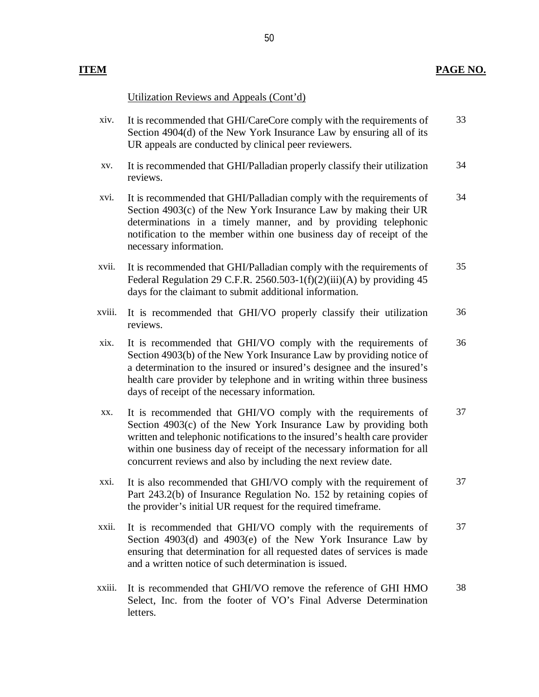#### **ITEM**

#### Utilization Reviews and Appeals (Cont'd)

- xiv. It is recommended that GHI/CareCore comply with the requirements of Section 4904(d) of the New York Insurance Law by ensuring all of its UR appeals are conducted by clinical peer reviewers. 33
- xv. It is recommended that GHI/Palladian properly classify their utilization reviews. 34
- xvi. It is recommended that GHI/Palladian comply with the requirements of Section 4903(c) of the New York Insurance Law by making their UR determinations in a timely manner, and by providing telephonic notification to the member within one business day of receipt of the necessary information. 34
- xvii. It is recommended that GHI/Palladian comply with the requirements of Federal Regulation 29 C.F.R. 2560.503-1( $f$ )(2)(iii)(A) by providing 45 days for the claimant to submit additional information. 35
- xviii. It is recommended that GHI/VO properly classify their utilization reviews. 36
- xix. It is recommended that GHI/VO comply with the requirements of Section 4903(b) of the New York Insurance Law by providing notice of a determination to the insured or insured's designee and the insured's health care provider by telephone and in writing within three business days of receipt of the necessary information. 36
- xx. It is recommended that GHI/VO comply with the requirements of Section 4903(c) of the New York Insurance Law by providing both written and telephonic notifications to the insured's health care provider within one business day of receipt of the necessary information for all concurrent reviews and also by including the next review date. 37
- xxi. It is also recommended that GHI/VO comply with the requirement of Part 243.2(b) of Insurance Regulation No. 152 by retaining copies of the provider's initial UR request for the required timeframe. 37
- xxii. It is recommended that GHI/VO comply with the requirements of Section 4903(d) and 4903(e) of the New York Insurance Law by ensuring that determination for all requested dates of services is made and a written notice of such determination is issued. 37
- xxiii. It is recommended that GHI/VO remove the reference of GHI HMO Select, Inc. from the footer of VO's Final Adverse Determination letters. 38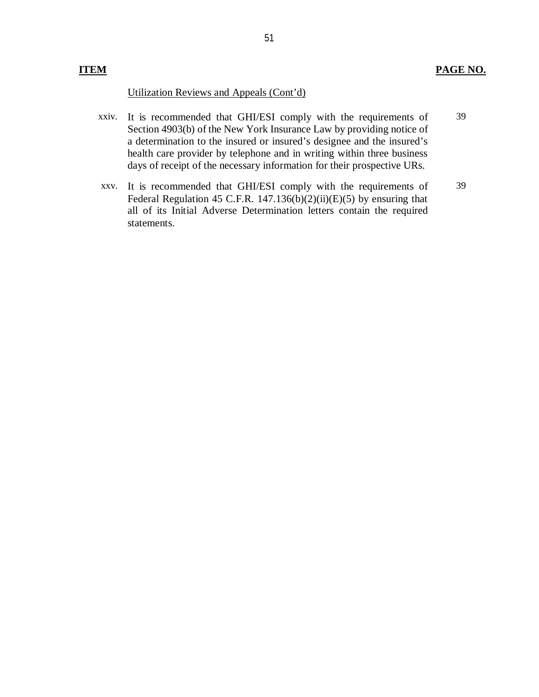#### **ITEM PAGE NO.**

#### Utilization Reviews and Appeals (Cont'd)

- xxiv. It is recommended that GHI/ESI comply with the requirements of 39 Section 4903(b) of the New York Insurance Law by providing notice of a determination to the insured or insured's designee and the insured's health care provider by telephone and in writing within three business days of receipt of the necessary information for their prospective URs.
- xxv. It is recommended that GHI/ESI comply with the requirements of 39 Federal Regulation 45 C.F.R. 147.136(b) $(2)(ii)(E)(5)$  by ensuring that all of its Initial Adverse Determination letters contain the required statements.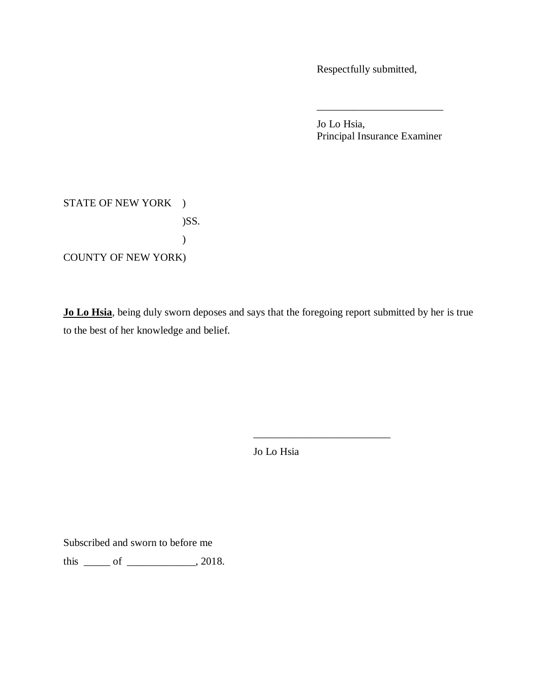Respectfully submitted,

 Jo Lo Hsia, Principal Insurance Examiner

\_\_\_\_\_\_\_\_\_\_\_\_\_\_\_\_\_\_\_\_\_\_\_\_

# STATE OF NEW YORK ) COUNTY OF NEW YORK) )SS. )

 **Jo Lo Hsia**, being duly sworn deposes and says that the foregoing report submitted by her is true to the best of her knowledge and belief.

Jo Lo Hsia

\_\_\_\_\_\_\_\_\_\_\_\_\_\_\_\_\_\_\_\_\_\_\_\_\_\_

Subscribed and sworn to before me

this  $\rule{1em}{0.15mm}$  of  $\rule{1em}{0.15mm}$   $\qquad$   $\qquad$   $\qquad$   $\qquad$   $\qquad$   $\qquad$   $\qquad$   $\qquad$   $\qquad$   $\qquad$   $\qquad$   $\qquad$   $\qquad$   $\qquad$   $\qquad$   $\qquad$   $\qquad$   $\qquad$   $\qquad$   $\qquad$   $\qquad$   $\qquad$   $\qquad$   $\qquad$   $\qquad$   $\qquad$   $\qquad$   $\qquad$   $\qquad$   $\qquad$   $\q$